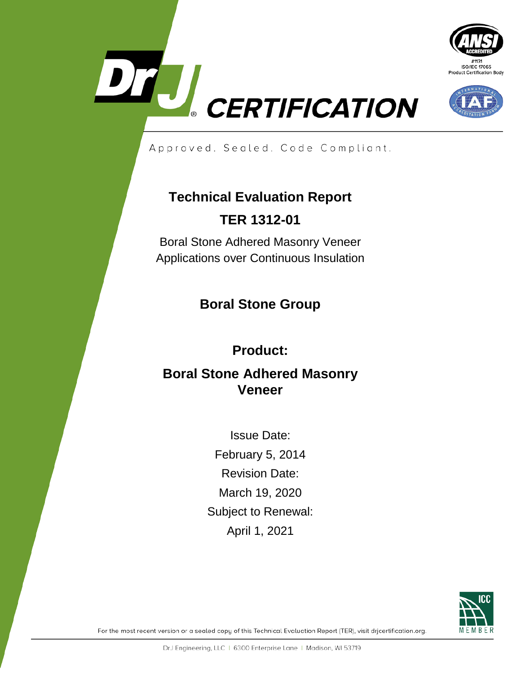





Approved. Sealed. Code Compliant.

# **Technical Evaluation Report TER 1312-01**

Boral Stone Adhered Masonry Veneer Applications over Continuous Insulation

## **Boral Stone Group**

## **Product:**

## **Boral Stone Adhered Masonry Veneer**

Issue Date: February 5, 2014 Revision Date: March 19, 2020 Subject to Renewal: April 1, 2021



For the most recent version or a sealed copy of this Technical Evaluation Report (TER), visit dricertification.org.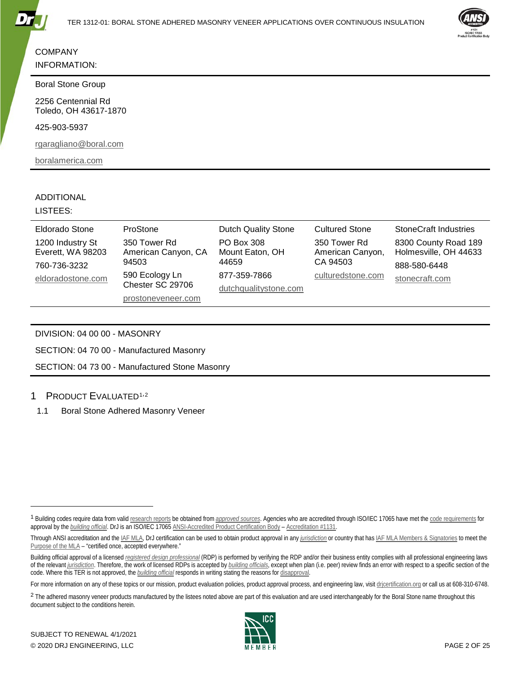



#### **COMPANY** INFORMATION:

#### Boral Stone Group

2256 Centennial Rd Toledo, OH 43617-1870

425-903-5937

[rgaragliano@boral.com](mailto:rgaragliano@boral.com?subject=TER%201312-01%20Boral%20Stone%20Adhered%20Masonry%20Veneer%20Applications%20over%20Continuous%20Insulation)

[boralamerica.com](https://boralamerica.com/)

#### ADDITIONAL

#### LISTEES:

| Eldorado Stone                                        | ProStone                                     | <b>Dutch Quality Stone</b>                    | <b>Cultured Stone</b>                        | <b>StoneCraft Industries</b>                                  |
|-------------------------------------------------------|----------------------------------------------|-----------------------------------------------|----------------------------------------------|---------------------------------------------------------------|
| 1200 Industry St<br>Everett, WA 98203<br>760-736-3232 | 350 Tower Rd<br>American Canyon, CA<br>94503 | <b>PO Box 308</b><br>Mount Eaton, OH<br>44659 | 350 Tower Rd<br>American Canyon,<br>CA 94503 | 8300 County Road 189<br>Holmesville, OH 44633<br>888-580-6448 |
| eldoradostone.com                                     | 590 Ecology Ln<br>Chester SC 29706           | 877-359-7866<br>dutchqualitystone.com         | culturedstone.com                            | stonecraft.com                                                |
|                                                       | prostoneveneer.com                           |                                               |                                              |                                                               |

DIVISION: 04 00 00 - MASONRY

SECTION: 04 70 00 - Manufactured Masonry

SECTION: 04 73 00 - Manufactured Stone Masonry

#### 1 PRODUCT EVALUATED<sup>[1,](#page-1-0)[2](#page-1-1)</sup>

1.1 Boral Stone Adhered Masonry Veneer

j



<span id="page-1-0"></span><sup>1</sup> Building codes require data from vali[d research reports](https://www.drjcertification.org/2018/ibc/section-1703.4.2/research-report) be obtained from *[approved sources](https://www.drjcertification.org/2018/ibc/chapter-2/approved-source)*. Agencies who are accredited through ISO/IEC 17065 have met th[e code requirements](https://www.drjcertification.org/2018/ibc/section-1703.1) for approval by the *[building official](https://www.drjcertification.org/2018/ibc/chapter-2/building-official)*. DrJ is an ISO/IEC 1706[5 ANSI-Accredited Product Certification Body](https://www.ansi.org/Accreditation/product-certification/DirectoryListingAccredited?menuID=1&prgID=1) – [Accreditation #1131.](https://www.ansi.org/Accreditation/product-certification/AllDirectoryDetails?&prgID=1&OrgId=2125&statusID=4) 

Through ANSI accreditation and the *IAF MLA*, DrJ certification can be used to obtain product approval in any *[jurisdiction](https://www.drjcertification.org/2018/ibc/chapter-2/jurisdiction)* or country that ha[s IAF MLA Members & Signatories](https://www.iaf.nu/articles/IAF_MEMBERS_SIGNATORIES/4) to meet the [Purpose of the MLA](https://www.iaf.nu/articles/Purpose/15) – "certified once, accepted everywhere."

Building official approval of a licensed *[registered design professional](https://www.drjcertification.org/2018/ibc/chapter-2/registered-design-professional)* (RDP) is performed by verifying the RDP and/or their business entity complies with all professional engineering laws of the relevant *[jurisdiction](https://www.drjcertification.org/2018/ibc/chapter-2/jurisdiction)*. Therefore, the work of licensed RDPs is accepted by *[building officials](https://www.drjcertification.org/2018/ibc/chapter-2/building-official)*, except when plan (i.e. peer) review finds an error with respect to a specific section of the code. Where this TER is not approved, the *[building official](https://www.drjcertification.org/2018/ibc/chapter-2/building-official)* responds in writing stating the reasons fo[r disapproval.](https://www.drjcertification.org/2018/ibc/section-104.11)

For more information on any of these topics or our mission, product evaluation policies, product approval process, and engineering law, visit drivertification.org or call us at 608-310-6748.

<span id="page-1-1"></span><sup>&</sup>lt;sup>2</sup> The adhered masonry veneer products manufactured by the listees noted above are part of this evaluation and are used interchangeably for the Boral Stone name throughout this document subject to the conditions herein.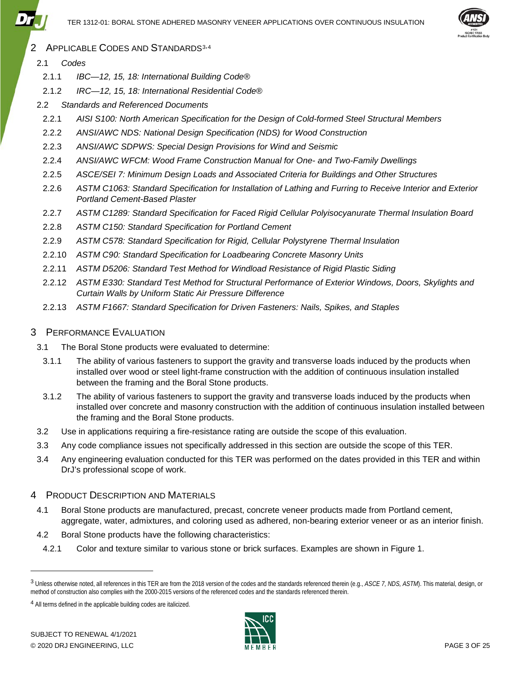

- <span id="page-2-2"></span>2 APPLICABLE CODES AND STANDARDS<sup>[3,](#page-2-0)[4](#page-2-1)</sup>
	- 2.1 *Codes*
		- 2.1.1 *IBC—12, 15, 18: International Building Code®*
		- 2.1.2 *IRC—12, 15, 18: International Residential Code®*
	- 2.2 *Standards and Referenced Documents*
		- 2.2.1 *AISI S100: North American Specification for the Design of Cold-formed Steel Structural Members*
		- 2.2.2 *ANSI/AWC NDS: National Design Specification (NDS) for Wood Construction*
		- 2.2.3 *ANSI/AWC SDPWS: Special Design Provisions for Wind and Seismic*
		- 2.2.4 *ANSI/AWC WFCM: Wood Frame Construction Manual for One- and Two-Family Dwellings*
		- 2.2.5 *ASCE/SEI 7: Minimum Design Loads and Associated Criteria for Buildings and Other Structures*
		- 2.2.6 *ASTM C1063: Standard Specification for Installation of Lathing and Furring to Receive Interior and Exterior Portland Cement-Based Plaster*
		- 2.2.7 *ASTM C1289: Standard Specification for Faced Rigid Cellular Polyisocyanurate Thermal Insulation Board*
		- 2.2.8 *ASTM C150: Standard Specification for Portland Cement*
		- 2.2.9 *ASTM C578: Standard Specification for Rigid, Cellular Polystyrene Thermal Insulation*
	- 2.2.10 *ASTM C90: Standard Specification for Loadbearing Concrete Masonry Units*
	- 2.2.11 *ASTM D5206: Standard Test Method for Windload Resistance of Rigid Plastic Siding*
	- 2.2.12 *ASTM E330: Standard Test Method for Structural Performance of Exterior Windows, Doors, Skylights and Curtain Walls by Uniform Static Air Pressure Difference*
	- 2.2.13 *ASTM F1667: Standard Specification for Driven Fasteners: Nails, Spikes, and Staples*

## 3 PERFORMANCE EVALUATION

- 3.1 The Boral Stone products were evaluated to determine:
	- 3.1.1 The ability of various fasteners to support the gravity and transverse loads induced by the products when installed over wood or steel light-frame construction with the addition of continuous insulation installed between the framing and the Boral Stone products.
	- 3.1.2 The ability of various fasteners to support the gravity and transverse loads induced by the products when installed over concrete and masonry construction with the addition of continuous insulation installed between the framing and the Boral Stone products.
- 3.2 Use in applications requiring a fire-resistance rating are outside the scope of this evaluation.
- 3.3 Any code compliance issues not specifically addressed in this section are outside the scope of this TER.
- 3.4 Any engineering evaluation conducted for this TER was performed on the dates provided in this TER and within DrJ's professional scope of work.

### 4 PRODUCT DESCRIPTION AND MATERIALS

- 4.1 Boral Stone products are manufactured, precast, concrete veneer products made from Portland cement, aggregate, water, admixtures, and coloring used as adhered, non-bearing exterior veneer or as an interior finish.
- 4.2 Boral Stone products have the following characteristics:
- 4.2.1 Color and texture similar to various stone or brick surfaces. Examples are shown in [Figure 1.](#page-3-0)

-



<span id="page-2-0"></span><sup>3</sup> Unless otherwise noted, all references in this TER are from the 2018 version of the codes and the standards referenced therein (e.g., *ASCE 7, NDS, ASTM*). This material, design, or method of construction also complies with the 2000-2015 versions of the referenced codes and the standards referenced therein.

<span id="page-2-1"></span><sup>4</sup> All terms defined in the applicable building codes are italicized.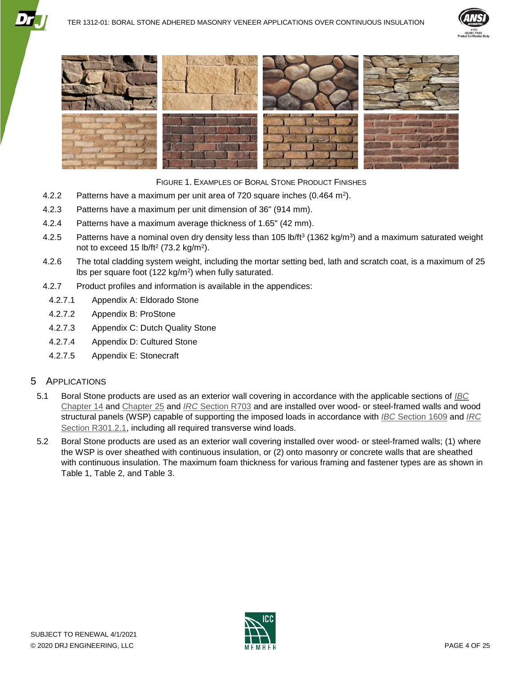





<span id="page-3-0"></span>FIGURE 1. EXAMPLES OF BORAL STONE PRODUCT FINISHES

- 4.2.2 Patterns have a maximum per unit area of 720 square inches (0.464 m<sup>2</sup>).
- 4.2.3 Patterns have a maximum per unit dimension of 36" (914 mm).
- 4.2.4 Patterns have a maximum average thickness of 1.65" (42 mm).
- 4.2.5 Patterns have a nominal oven dry density less than 105 lb/ft<sup>3</sup> (1362 kg/m<sup>3</sup>) and a maximum saturated weight not to exceed 15  $lb/ft^2$  (73.2 kg/m<sup>2</sup>).
- 4.2.6 The total cladding system weight, including the mortar setting bed, lath and scratch coat, is a maximum of 25 lbs per square foot (122 kg/m2) when fully saturated.
- 4.2.7 Product profiles and information is available in the appendices:
	- 4.2.7.1 [Appendix A: Eldorado Stone](#page-20-0)
	- 4.2.7.2 [Appendix B: ProStone](#page-22-0)
	- 4.2.7.3 [Appendix C: Dutch Quality Stone](#page-22-1)
	- 4.2.7.4 [Appendix D: Cultured Stone](#page-23-0)
	- 4.2.7.5 [Appendix E: Stonecraft](#page-24-0)

#### 5 APPLICATIONS

- 5.1 Boral Stone products are used as an exterior wall covering in accordance with the applicable sections of *[IBC](https://www.drjcertification.org/2018/ibc/chapter-14)* [Chapter 14](https://www.drjcertification.org/2018/ibc/chapter-14) and [Chapter 25](https://www.drjcertification.org/2018/ibc/chapter-25) and *IRC* [Section R703](https://www.drjcertification.org/2018/irc/section-R703) and are installed over wood- or steel-framed walls and wood structural panels (WSP) capable of supporting the imposed loads in accordance with *IBC* [Section 1609](https://www.drjcertification.org/2018/ibc/section-1609) and *[IRC](https://www.drjcertification.org/2018/irc/section-R301.2.1)* [Section R301.2.1,](https://www.drjcertification.org/2018/irc/section-R301.2.1) including all required transverse wind loads.
- 5.2 Boral Stone products are used as an exterior wall covering installed over wood- or steel-framed walls; (1) where the WSP is over sheathed with continuous insulation, or (2) onto masonry or concrete walls that are sheathed with continuous insulation. The maximum foam thickness for various framing and fastener types are as shown in [Table 1,](#page-4-0) [Table 2,](#page-6-0) and [Table 3.](#page-10-0)

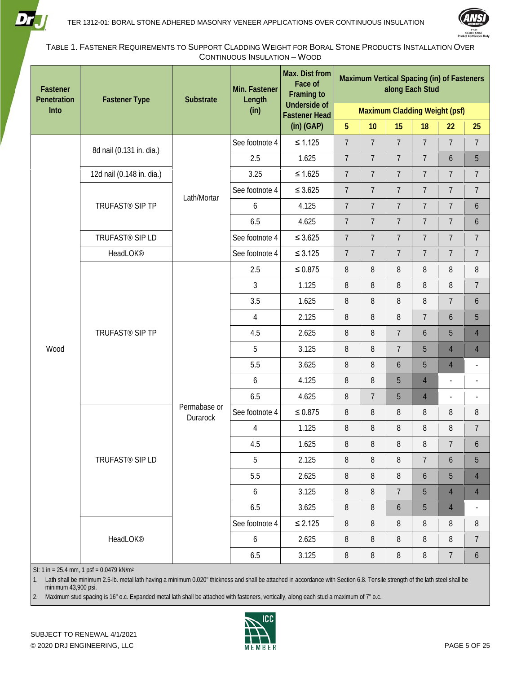



<span id="page-4-0"></span>TABLE 1. FASTENER REQUIREMENTS TO SUPPORT CLADDING WEIGHT FOR BORAL STONE PRODUCTS INSTALLATION OVER CONTINUOUS INSULATION – WOOD

| Fastener<br>Penetration | <b>Fastener Type</b>        | Substrate                | Min. Fastener<br>Length | <b>Max. Dist from</b><br>Face of<br><b>Framing to</b> | Maximum Vertical Spacing (in) of Fasteners<br>along Each Stud |                |                 |                |                          |                          |  |
|-------------------------|-----------------------------|--------------------------|-------------------------|-------------------------------------------------------|---------------------------------------------------------------|----------------|-----------------|----------------|--------------------------|--------------------------|--|
| Into                    |                             |                          | (in)                    | <b>Underside of</b><br><b>Fastener Head</b>           | <b>Maximum Cladding Weight (psf)</b>                          |                |                 |                |                          |                          |  |
|                         |                             |                          |                         | $(in)$ (GAP)                                          | 5 <sup>1</sup>                                                | 10             | 15              | 18             | 22                       | 25                       |  |
|                         | 8d nail (0.131 in. dia.)    |                          | See footnote 4          | $\leq 1.125$                                          | $\overline{7}$                                                | $\overline{7}$ | $\overline{7}$  | $\overline{7}$ | $\overline{7}$           | $\overline{7}$           |  |
|                         |                             |                          | 2.5                     | 1.625                                                 | $\overline{7}$                                                | $\overline{7}$ | $\overline{7}$  | $\overline{7}$ | $\boldsymbol{6}$         | $\overline{5}$           |  |
|                         | 12d nail (0.148 in. dia.)   |                          | 3.25                    | $\leq 1.625$                                          | $\overline{7}$                                                | $\overline{7}$ | $\overline{7}$  | $\overline{7}$ | $\overline{7}$           | $\overline{7}$           |  |
|                         |                             | Lath/Mortar              | See footnote 4          | $\leq 3.625$                                          | $\overline{7}$                                                | $\overline{7}$ | $\overline{7}$  | $\overline{7}$ | $\overline{7}$           | $\overline{7}$           |  |
|                         | TRUFAST <sup>®</sup> SIP TP |                          | 6                       | 4.125                                                 | $\overline{7}$                                                | $\overline{7}$ | $\overline{7}$  | $\overline{7}$ | $\overline{7}$           | 6                        |  |
|                         |                             |                          | 6.5                     | 4.625                                                 | $\overline{7}$                                                | $\overline{7}$ | $\overline{7}$  | $\overline{7}$ | $\overline{7}$           | $\boldsymbol{6}$         |  |
|                         | TRUFAST <sup>®</sup> SIP LD |                          | See footnote 4          | $\leq 3.625$                                          | $\overline{7}$                                                | $\overline{7}$ | $\overline{7}$  | $\overline{7}$ | $\overline{7}$           | $\overline{7}$           |  |
|                         | HeadLOK <sup>®</sup>        |                          | See footnote 4          | $\leq 3.125$                                          | $\overline{7}$                                                | $\overline{7}$ | $\overline{7}$  | $\overline{7}$ | $\overline{7}$           | $\overline{7}$           |  |
|                         |                             |                          | 2.5                     | $\leq 0.875$                                          | $\, 8$                                                        | $\, 8$         | $\, 8$          | 8              | $\, 8$                   | $\, 8$                   |  |
|                         | TRUFAST <sup>®</sup> SIP TP |                          | 3                       | 1.125                                                 | 8                                                             | 8              | 8               | 8              | $\, 8$                   | $\overline{7}$           |  |
|                         |                             |                          | 3.5                     | 1.625                                                 | $\, 8$                                                        | $\, 8$         | $\, 8$          | 8              | $\overline{7}$           | $\boldsymbol{6}$         |  |
|                         |                             |                          | $\overline{4}$          | 2.125                                                 | 8                                                             | 8              | 8               | $\overline{7}$ | $\boldsymbol{6}$         | $\overline{5}$           |  |
|                         |                             |                          | 4.5                     | 2.625                                                 | 8                                                             | $\, 8$         | $\overline{7}$  | 6              | 5                        | $\overline{4}$           |  |
| Wood                    |                             |                          | 5                       | 3.125                                                 | 8                                                             | 8              | $\overline{7}$  | 5              | $\overline{4}$           | $\overline{4}$           |  |
|                         |                             |                          | 5.5                     | 3.625                                                 | 8                                                             | 8              | 6               | 5              | $\overline{4}$           | $\overline{\phantom{a}}$ |  |
|                         |                             |                          | 6                       | 4.125                                                 | 8                                                             | 8              | 5               | $\overline{4}$ | $\overline{\phantom{a}}$ | $\overline{\phantom{a}}$ |  |
|                         |                             |                          | 6.5                     | 4.625                                                 | 8                                                             | $\overline{7}$ | 5               | $\overline{4}$ | $\overline{a}$           | $\overline{\phantom{a}}$ |  |
|                         |                             | Permabase or<br>Durarock | See footnote 4          | $\leq 0.875$                                          | $\, 8$                                                        | $\, 8$         | $\, 8$          | 8              | $\, 8$                   | 8                        |  |
|                         |                             |                          | $\overline{4}$          | 1.125                                                 | 8                                                             | 8              | $\, 8$          | 8              | $\, 8$                   | $\boldsymbol{7}$         |  |
|                         |                             |                          | 4.5                     | 1.625                                                 | 8                                                             | 8              | 8               | 8              | $\overline{7}$           | 6                        |  |
|                         | TRUFAST <sup>®</sup> SIP LD |                          | 5                       | 2.125                                                 | $8\,$                                                         | $\, 8$         | 8               | $7\phantom{.}$ | $\boldsymbol{6}$         | $\overline{5}$           |  |
|                         |                             |                          | 5.5                     | 2.625                                                 | 8                                                             | $\, 8$         | 8               | 6              | $\overline{5}$           | $\overline{4}$           |  |
|                         |                             |                          | 6                       | 3.125                                                 | 8                                                             | 8              | $7\overline{ }$ | 5              | $\overline{4}$           | $\overline{4}$           |  |
|                         |                             |                          | 6.5                     | 3.625                                                 | 8                                                             | $\, 8$         | $\mathfrak{b}$  | 5              | $\overline{4}$           |                          |  |
|                         |                             |                          | See footnote 4          | $\leq 2.125$                                          | 8                                                             | $\, 8$         | 8               | 8              | 8                        | $\, 8$                   |  |
|                         | HeadLOK <sup>®</sup>        |                          | 6                       | 2.625                                                 | 8                                                             | 8              | 8               | 8              | $8\,$                    | $\overline{7}$           |  |
|                         |                             |                          | 6.5                     | 3.125                                                 | 8                                                             | 8              | 8               | $\, 8$         | $\boldsymbol{7}$         | $\boldsymbol{6}$         |  |

SI: 1 in = 25.4 mm, 1 psf =  $0.0479$  kN/m<sup>2</sup>

1. Lath shall be minimum 2.5-lb. metal lath having a minimum 0.020" thickness and shall be attached in accordance with Sectio[n 6.8.](#page-17-0) Tensile strength of the lath steel shall be minimum 43,900 psi.

2. Maximum stud spacing is 16" o.c. Expanded metal lath shall be attached with fasteners, vertically, along each stud a maximum of 7" o.c.

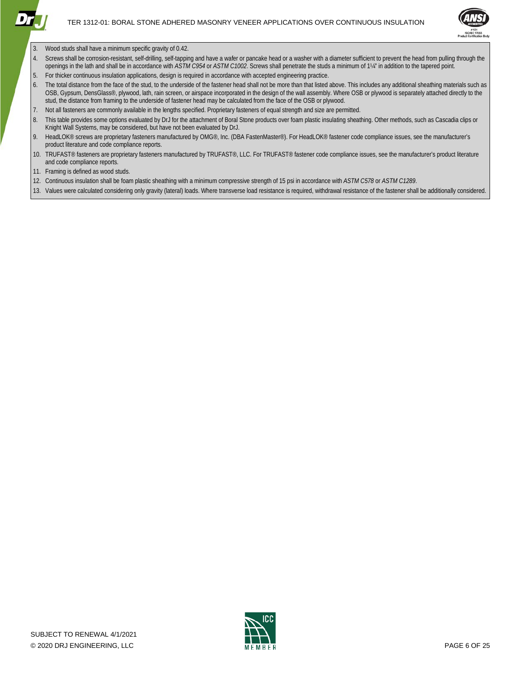

- 3. Wood studs shall have a minimum specific gravity of 0.42.
- Screws shall be corrosion-resistant, self-drilling, self-tapping and have a wafer or pancake head or a washer with a diameter sufficient to prevent the head from pulling through the openings in the lath and shall be in accordance with *ASTM C954* or *ASTM C1002*. Screws shall penetrate the studs a minimum of 1¼" in addition to the tapered point.
- 5. For thicker continuous insulation applications, design is required in accordance with accepted engineering practice.
- 6. The total distance from the face of the stud, to the underside of the fastener head shall not be more than that listed above. This includes any additional sheathing materials such as OSB, Gypsum, DensGlass®, plywood, lath, rain screen, or airspace incorporated in the design of the wall assembly. Where OSB or plywood is separately attached directly to the stud, the distance from framing to the underside of fastener head may be calculated from the face of the OSB or plywood.
- 7. Not all fasteners are commonly available in the lengths specified. Proprietary fasteners of equal strength and size are permitted.
- 8. This table provides some options evaluated by DrJ for the attachment of Boral Stone products over foam plastic insulating sheathing. Other methods, such as Cascadia clips or Knight Wall Systems, may be considered, but have not been evaluated by DrJ.
- 9. HeadLOK<sup>®</sup> screws are proprietary fasteners manufactured by OMG®, Inc. (DBA FastenMaster®). For HeadLOK® fastener code compliance issues, see the manufacturer's product literature and code compliance reports.
- 10. TRUFAST® fasteners are proprietary fasteners manufactured by TRUFAST®, LLC. For TRUFAST® fastener code compliance issues, see the manufacturer's product literature and code compliance reports.
- 11. Framing is defined as wood studs.
- 12. Continuous insulation shall be foam plastic sheathing with a minimum compressive strength of 15 psi in accordance with *ASTM C578* or *ASTM C1289*.
- 13. Values were calculated considering only gravity (lateral) loads. Where transverse load resistance is required, withdrawal resistance of the fastener shall be additionally considered.



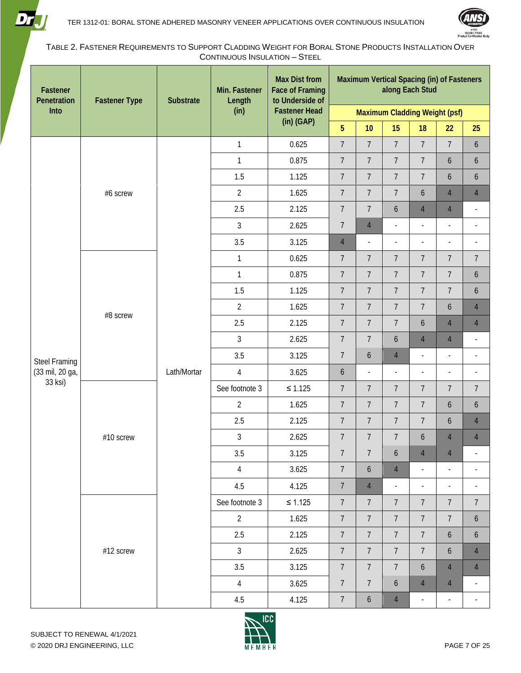



<span id="page-6-0"></span>TABLE 2. FASTENER REQUIREMENTS TO SUPPORT CLADDING WEIGHT FOR BORAL STONE PRODUCTS INSTALLATION OVER CONTINUOUS INSULATION – STEEL

| Fastener<br>Penetration | <b>Fastener Type</b> | Substrate   | Min. Fastener<br>Length | <b>Max Dist from</b><br><b>Face of Framing</b><br>to Underside of | Maximum Vertical Spacing (in) of Fasteners<br>along Each Stud |                |                          |                          |                          |                          |
|-------------------------|----------------------|-------------|-------------------------|-------------------------------------------------------------------|---------------------------------------------------------------|----------------|--------------------------|--------------------------|--------------------------|--------------------------|
| Into                    |                      |             | (in)                    | <b>Fastener Head</b>                                              | Maximum Cladding Weight (psf)                                 |                |                          |                          |                          |                          |
|                         |                      |             |                         | $(in)$ (GAP)                                                      | $5\phantom{.}$                                                | 10             | 15                       | 18                       | 22                       | 25                       |
|                         |                      |             | $\mathbf{1}$            | 0.625                                                             | $\overline{7}$                                                | $\overline{7}$ | $\overline{7}$           | $\overline{7}$           | $\overline{7}$           | 6                        |
|                         |                      |             | $\mathbf{1}$            | 0.875                                                             | $\overline{7}$                                                | $\overline{7}$ | $\overline{7}$           | 7                        | $\boldsymbol{6}$         | 6                        |
|                         |                      |             | 1.5                     | 1.125                                                             | $\overline{7}$                                                | $\overline{7}$ | $\overline{7}$           | $\overline{7}$           | $\boldsymbol{6}$         | 6                        |
|                         | #6 screw             |             | $\overline{2}$          | 1.625                                                             | $\overline{7}$                                                | $\overline{7}$ | $\overline{7}$           | 6                        | $\overline{4}$           | $\overline{4}$           |
|                         |                      |             | 2.5                     | 2.125                                                             | $\overline{7}$                                                | $\overline{7}$ | 6                        | $\overline{4}$           | $\overline{4}$           | $\overline{a}$           |
|                         |                      |             | $\mathfrak{Z}$          | 2.625                                                             | $\overline{7}$                                                | $\overline{4}$ | $\frac{1}{2}$            | $\overline{\phantom{a}}$ | $\overline{\phantom{a}}$ | $\overline{a}$           |
|                         |                      |             | 3.5                     | 3.125                                                             | $\overline{4}$                                                | $\overline{a}$ | $\frac{1}{2}$            | $\overline{\phantom{a}}$ | $\overline{\phantom{a}}$ | $\overline{\phantom{a}}$ |
|                         |                      |             | $\mathbf{1}$            | 0.625                                                             | $\overline{7}$                                                | $\overline{7}$ | $\overline{7}$           | $\overline{7}$           | $\overline{7}$           | $\overline{7}$           |
|                         | #8 screw             | Lath/Mortar | $\mathbf{1}$            | 0.875                                                             | $\overline{7}$                                                | $\overline{7}$ | $\overline{7}$           | $\overline{7}$           | $\overline{7}$           | 6                        |
|                         |                      |             | 1.5                     | 1.125                                                             | $\overline{7}$                                                | $\overline{7}$ | $\overline{7}$           | $\overline{7}$           | $\overline{7}$           | $\mathfrak b$            |
|                         |                      |             | $\overline{2}$          | 1.625                                                             | $\overline{7}$                                                | $\overline{7}$ | $\overline{7}$           | $\overline{7}$           | $\boldsymbol{6}$         | $\overline{4}$           |
|                         |                      |             | 2.5                     | 2.125                                                             | $\overline{7}$                                                | $\overline{7}$ | $\overline{7}$           | 6                        | $\overline{4}$           | $\overline{4}$           |
|                         |                      |             | 3                       | 2.625                                                             | $\overline{7}$                                                | $\overline{7}$ | 6                        | $\overline{4}$           | $\overline{4}$           | $\overline{\phantom{a}}$ |
| <b>Steel Framing</b>    |                      |             | 3.5                     | 3.125                                                             | $\overline{7}$                                                | 6              | $\overline{4}$           | $\overline{\phantom{a}}$ | $\blacksquare$           | $\overline{\phantom{a}}$ |
| (33 mil, 20 ga,         |                      |             | $\overline{4}$          | 3.625                                                             | $\boldsymbol{6}$                                              | $\overline{a}$ | $\overline{a}$           | $\overline{a}$           | $\overline{\phantom{a}}$ | ÷,                       |
| 33 ksi)                 |                      |             | See footnote 3          | $\leq 1.125$                                                      | $\overline{7}$                                                | $\overline{7}$ | $\overline{7}$           | $\overline{7}$           | $\overline{7}$           | $\overline{7}$           |
|                         |                      |             | $\overline{2}$          | 1.625                                                             | $\overline{7}$                                                | $\overline{7}$ | $\overline{7}$           | 7                        | $\boldsymbol{6}$         | $\mathfrak b$            |
|                         |                      |             | 2.5                     | 2.125                                                             | $\overline{7}$                                                | $\overline{7}$ | $\overline{7}$           | $\overline{7}$           | $\boldsymbol{6}$         | $\overline{4}$           |
|                         | #10 screw            |             | 3                       | 2.625                                                             | $\overline{7}$                                                | $\overline{7}$ | $\overline{7}$           | 6                        | $\overline{4}$           | $\overline{4}$           |
|                         |                      |             | 3.5                     | 3.125                                                             | $\overline{7}$                                                | $\overline{7}$ | 6                        | $\overline{4}$           | $\overline{4}$           |                          |
|                         |                      |             | $\overline{4}$          | 3.625                                                             | $\overline{7}$                                                | 6              | $\overline{4}$           | $\overline{\phantom{a}}$ | $\overline{\phantom{a}}$ | $\overline{\phantom{a}}$ |
|                         |                      |             | 4.5                     | 4.125                                                             | $\overline{7}$                                                | $\overline{4}$ | $\overline{\phantom{a}}$ | $\overline{\phantom{a}}$ | $\overline{\phantom{a}}$ | $\overline{\phantom{a}}$ |
|                         |                      |             | See footnote 3          | $\leq 1.125$                                                      | $\overline{7}$                                                | $\overline{7}$ | $7\overline{ }$          | $7\phantom{.}$           | $\overline{7}$           | $\overline{7}$           |
|                         |                      |             | $\overline{2}$          | 1.625                                                             | $\overline{7}$                                                | $\overline{7}$ | $\overline{7}$           | $7\overline{ }$          | $\overline{7}$           | 6                        |
|                         |                      |             | 2.5                     | 2.125                                                             | $\overline{7}$                                                | $\overline{7}$ | $\overline{7}$           | $7\overline{ }$          | $\boldsymbol{6}$         | $\boldsymbol{6}$         |
|                         | #12 screw            |             | $\overline{3}$          | 2.625                                                             | $\overline{7}$                                                | $\overline{7}$ | $\overline{7}$           | $\overline{7}$           | $\boldsymbol{6}$         | $\overline{4}$           |
|                         |                      |             | 3.5                     | 3.125                                                             | $\overline{7}$                                                | $\overline{7}$ | $\overline{7}$           | 6                        | $\overline{4}$           | $\overline{4}$           |
|                         |                      |             | $\overline{4}$          | 3.625                                                             | $\overline{7}$                                                | $\overline{7}$ | 6                        | $\overline{4}$           | $\overline{4}$           | $\overline{\phantom{a}}$ |
|                         |                      |             | 4.5                     | 4.125                                                             | $\overline{7}$                                                | 6              | $\overline{4}$           | $\blacksquare$           | $\overline{\phantom{a}}$ | $\overline{\phantom{a}}$ |

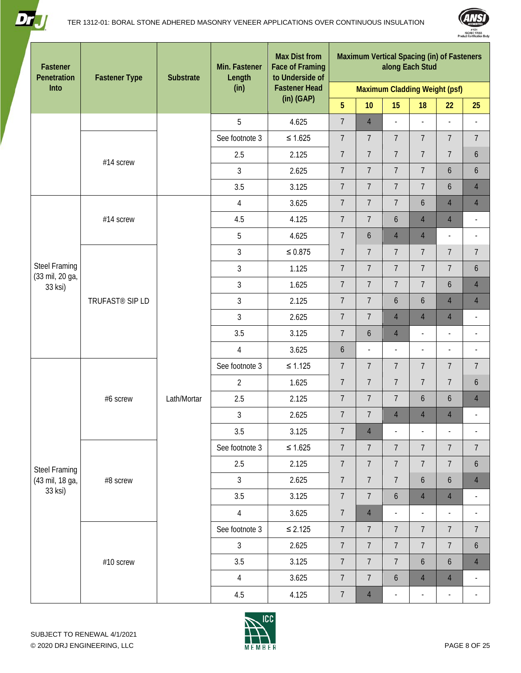

- 11



| Fastener<br>Penetration    | <b>Fastener Type</b>        | <b>Substrate</b> | Min. Fastener<br>Length | <b>Max Dist from</b><br><b>Face of Framing</b><br>to Underside of | Maximum Vertical Spacing (in) of Fasteners<br>along Each Stud |                  |                          |                          |                          |                          |  |  |
|----------------------------|-----------------------------|------------------|-------------------------|-------------------------------------------------------------------|---------------------------------------------------------------|------------------|--------------------------|--------------------------|--------------------------|--------------------------|--|--|
| Into                       |                             |                  | (in)                    | <b>Fastener Head</b>                                              | Maximum Cladding Weight (psf)                                 |                  |                          |                          |                          |                          |  |  |
|                            |                             |                  |                         | $(in)$ (GAP)                                                      | 5 <sup>5</sup>                                                | 10               | 15                       | 18                       | 22                       | 25                       |  |  |
|                            |                             |                  | 5                       | 4.625                                                             | $\overline{7}$                                                | $\overline{4}$   | $\overline{\phantom{a}}$ | $\overline{a}$           | $\overline{a}$           | $\overline{a}$           |  |  |
|                            |                             |                  | See footnote 3          | $\leq 1.625$                                                      | $\overline{7}$                                                | $\overline{7}$   | $\overline{7}$           | $\overline{7}$           | $\overline{7}$           | $\overline{7}$           |  |  |
|                            | #14 screw                   |                  | 2.5                     | 2.125                                                             | $\overline{7}$                                                | $\overline{7}$   | $\overline{7}$           | $\overline{7}$           | $\overline{7}$           | $\boldsymbol{6}$         |  |  |
|                            |                             |                  | 3                       | 2.625                                                             | $\overline{7}$                                                | $\overline{7}$   | $\overline{7}$           | $\overline{7}$           | 6                        | $\boldsymbol{6}$         |  |  |
|                            |                             |                  | 3.5                     | 3.125                                                             | $\overline{7}$                                                | $\overline{7}$   | $\overline{7}$           | $\overline{7}$           | 6                        | $\overline{4}$           |  |  |
|                            |                             |                  | $\overline{4}$          | 3.625                                                             | $\overline{7}$                                                | $\overline{7}$   | $\overline{7}$           | $\boldsymbol{6}$         | $\overline{4}$           | $\overline{4}$           |  |  |
|                            | #14 screw                   |                  | 4.5                     | 4.125                                                             | $\overline{7}$                                                | $\overline{7}$   | 6                        | $\overline{4}$           | $\overline{4}$           | $\overline{\phantom{a}}$ |  |  |
|                            |                             |                  | 5                       | 4.625                                                             | $\overline{7}$                                                | $\boldsymbol{6}$ | $\overline{4}$           | $\overline{4}$           | $\blacksquare$           | $\overline{\phantom{a}}$ |  |  |
|                            |                             |                  | $\mathfrak{Z}$          | $\leq 0.875$                                                      | $\overline{7}$                                                | $\overline{7}$   | 7                        | $\overline{7}$           | $\overline{7}$           | $\overline{7}$           |  |  |
| <b>Steel Framing</b>       |                             |                  | 3                       | 1.125                                                             | $\overline{7}$                                                | $\overline{7}$   | $\overline{7}$           | $\overline{7}$           | $\overline{7}$           | $\boldsymbol{6}$         |  |  |
| (33 mil, 20 ga,<br>33 ksi) |                             |                  | 3                       | 1.625                                                             | $\overline{7}$                                                | $\overline{7}$   | $\overline{7}$           | $\overline{7}$           | 6                        | $\overline{4}$           |  |  |
|                            | TRUFAST <sup>®</sup> SIP LD |                  | 3                       | 2.125                                                             | $\overline{7}$                                                | $\overline{7}$   | 6                        | 6                        | $\overline{4}$           | $\overline{4}$           |  |  |
|                            |                             | Lath/Mortar      | $\overline{3}$          | 2.625                                                             | $\overline{7}$                                                | $\overline{7}$   | $\overline{4}$           | $\overline{4}$           | $\overline{4}$           | $\overline{\phantom{a}}$ |  |  |
|                            |                             |                  | 3.5                     | 3.125                                                             | $\overline{7}$                                                | $\boldsymbol{6}$ | $\overline{4}$           | $\frac{1}{2}$            | $\blacksquare$           | $\overline{\phantom{a}}$ |  |  |
|                            |                             |                  | $\overline{4}$          | 3.625                                                             | 6                                                             | $\overline{a}$   | $\blacksquare$           | $\overline{\phantom{a}}$ | $\blacksquare$           | $\overline{\phantom{a}}$ |  |  |
|                            |                             |                  | See footnote 3          | $\leq 1.125$                                                      | $\overline{7}$                                                | $\overline{7}$   | $\overline{7}$           | $\overline{7}$           | $\overline{7}$           | $\overline{7}$           |  |  |
|                            |                             |                  | $\overline{2}$          | 1.625                                                             | $\overline{7}$                                                | $\overline{7}$   | $\overline{7}$           | $\overline{7}$           | $\overline{7}$           | $\mathfrak b$            |  |  |
|                            | #6 screw                    |                  | 2.5                     | 2.125                                                             | $\overline{7}$                                                | $\overline{7}$   | $\overline{7}$           | $\boldsymbol{6}$         | 6                        | $\overline{4}$           |  |  |
|                            |                             |                  | $\mathfrak{Z}$          | 2.625                                                             | $\overline{7}$                                                | $\overline{7}$   | $\overline{4}$           | $\overline{4}$           | $\overline{4}$           | $\overline{\phantom{a}}$ |  |  |
|                            |                             |                  | 3.5                     | 3.125                                                             | $\overline{7}$                                                | $\overline{4}$   | $\blacksquare$           | $\overline{\phantom{a}}$ | $\overline{\phantom{a}}$ | $\overline{\phantom{a}}$ |  |  |
|                            |                             |                  | See footnote 3          | $\leq$ 1.625                                                      | $\overline{7}$                                                | $\overline{7}$   | $\overline{7}$           | $\overline{7}$           | $\overline{7}$           | $\overline{7}$           |  |  |
| <b>Steel Framing</b>       |                             |                  | 2.5                     | 2.125                                                             | $\overline{7}$                                                | $\overline{7}$   | $\overline{7}$           | $\overline{7}$           | $\overline{7}$           | $\boldsymbol{6}$         |  |  |
| (43 mil, 18 ga,            | #8 screw                    |                  | $\mathfrak{Z}$          | 2.625                                                             | $\overline{7}$                                                | $\overline{7}$   | $\overline{7}$           | $\boldsymbol{6}$         | 6                        | $\overline{4}$           |  |  |
| 33 ksi)                    |                             |                  | 3.5                     | 3.125                                                             | $\overline{7}$                                                | $\overline{7}$   | 6                        | $\overline{4}$           | $\overline{4}$           | ÷,                       |  |  |
|                            |                             |                  | $\overline{4}$          | 3.625                                                             | $\overline{7}$                                                | $\overline{4}$   | $\overline{\phantom{a}}$ | $\overline{\phantom{a}}$ | $\blacksquare$           | $\overline{\phantom{a}}$ |  |  |
|                            |                             |                  | See footnote 3          | $\leq 2.125$                                                      | $\overline{7}$                                                | $\overline{7}$   | $\overline{7}$           | $\overline{7}$           | $\overline{7}$           | $\overline{7}$           |  |  |
|                            |                             |                  | $\mathfrak{Z}$          | 2.625                                                             | $\overline{7}$                                                | $\overline{7}$   | $\overline{7}$           | $\overline{7}$           | $\overline{7}$           | $\mathfrak b$            |  |  |
|                            | #10 screw                   |                  | 3.5                     | 3.125                                                             | $\overline{7}$                                                | $\overline{7}$   | $\overline{7}$           | $\boldsymbol{6}$         | 6                        | $\overline{4}$           |  |  |
|                            |                             |                  | 4                       | 3.625                                                             | $\overline{7}$                                                | $\overline{7}$   | 6                        | $\overline{4}$           | $\overline{4}$           | $\overline{\phantom{a}}$ |  |  |
|                            |                             |                  | 4.5                     | 4.125                                                             | $\overline{7}$                                                | $\overline{4}$   | $\overline{\phantom{a}}$ | $\overline{\phantom{a}}$ | $\overline{\phantom{a}}$ | $\overline{\phantom{a}}$ |  |  |

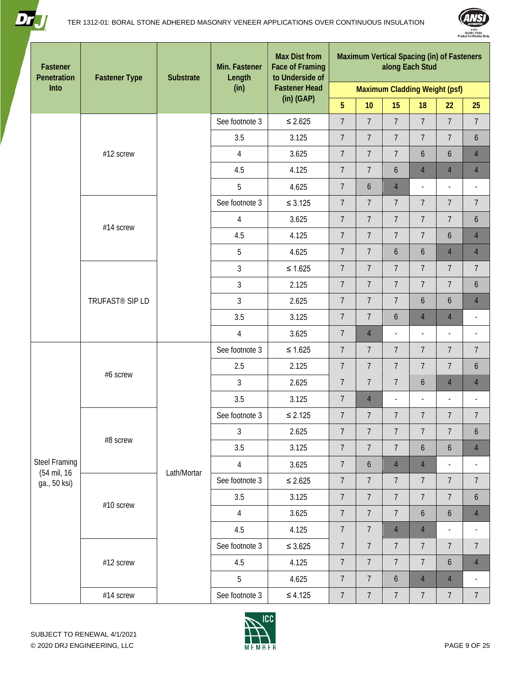



| Fastener<br>Penetration             | <b>Fastener Type</b>        | <b>Substrate</b> | Min. Fastener<br>Length | <b>Max Dist from</b><br><b>Face of Framing</b><br>to Underside of | <b>Maximum Vertical Spacing (in) of Fasteners</b><br>along Each Stud |                  |                  |                          |                          |                          |  |  |
|-------------------------------------|-----------------------------|------------------|-------------------------|-------------------------------------------------------------------|----------------------------------------------------------------------|------------------|------------------|--------------------------|--------------------------|--------------------------|--|--|
| Into                                |                             |                  | (in)                    | <b>Fastener Head</b>                                              | Maximum Cladding Weight (psf)                                        |                  |                  |                          |                          |                          |  |  |
|                                     |                             |                  |                         | $(in)$ (GAP)                                                      | 5 <sup>5</sup>                                                       | 10               | 15               | 18                       | 22                       | 25                       |  |  |
|                                     |                             |                  | See footnote 3          | $\leq 2.625$                                                      | $\overline{7}$                                                       | $\overline{7}$   | $\overline{7}$   | $\overline{7}$           | $\overline{7}$           | $\overline{7}$           |  |  |
|                                     |                             |                  | 3.5                     | 3.125                                                             | $\overline{7}$                                                       | $\overline{7}$   | $\overline{7}$   | $\overline{7}$           | $\overline{7}$           | 6                        |  |  |
|                                     | #12 screw                   |                  | $\overline{4}$          | 3.625                                                             | $\overline{7}$                                                       | $\overline{7}$   | $\overline{7}$   | 6                        | $\boldsymbol{6}$         | $\overline{4}$           |  |  |
|                                     |                             |                  | 4.5                     | 4.125                                                             | $\overline{7}$                                                       | $\overline{7}$   | 6                | $\overline{4}$           | $\overline{4}$           | $\overline{4}$           |  |  |
|                                     |                             |                  | 5                       | 4.625                                                             | $\overline{7}$                                                       | 6                | $\overline{4}$   | $\overline{\phantom{a}}$ | $\blacksquare$           | $\overline{\phantom{a}}$ |  |  |
|                                     |                             |                  | See footnote 3          | $\leq 3.125$                                                      | $\overline{7}$                                                       | $\overline{7}$   | $\overline{7}$   | $\overline{7}$           | $\overline{7}$           | $\overline{7}$           |  |  |
|                                     | #14 screw                   |                  | $\overline{4}$          | 3.625                                                             | $\overline{7}$                                                       | $\overline{7}$   | $\overline{7}$   | $\overline{7}$           | $\overline{7}$           | $\ddot{\mathbf{6}}$      |  |  |
|                                     |                             |                  | 4.5                     | 4.125                                                             | $\overline{7}$                                                       | $\overline{7}$   | $\overline{7}$   | $\overline{7}$           | $\boldsymbol{6}$         | $\overline{4}$           |  |  |
|                                     |                             |                  | 5                       | 4.625                                                             | $\overline{7}$                                                       | $\overline{7}$   | 6                | 6                        | $\overline{4}$           | $\overline{4}$           |  |  |
|                                     |                             |                  | 3                       | $\leq 1.625$                                                      | $\overline{7}$                                                       | $\overline{7}$   | $\overline{7}$   | $\overline{7}$           | $\overline{7}$           | $\overline{7}$           |  |  |
|                                     |                             |                  | 3                       | 2.125                                                             | $\overline{7}$                                                       | $\overline{7}$   | $\overline{7}$   | $\overline{7}$           | $\overline{7}$           | $\boldsymbol{6}$         |  |  |
|                                     | TRUFAST <sup>®</sup> SIP LD |                  | $\mathfrak{Z}$          | 2.625                                                             | $\overline{7}$                                                       | $\overline{7}$   | $\overline{7}$   | 6                        | $\boldsymbol{6}$         | $\overline{4}$           |  |  |
|                                     |                             |                  | 3.5                     | 3.125                                                             | $\overline{7}$                                                       | $\overline{7}$   | 6                | $\overline{4}$           | $\overline{4}$           | $\overline{a}$           |  |  |
|                                     |                             |                  | $\overline{4}$          | 3.625                                                             | $\overline{7}$                                                       | $\overline{4}$   | $\overline{a}$   | $\overline{\phantom{a}}$ | $\overline{\phantom{a}}$ | $\overline{\phantom{a}}$ |  |  |
|                                     |                             |                  | See footnote 3          | $\leq 1.625$                                                      | $\overline{7}$                                                       | $\overline{7}$   | $\overline{7}$   | $\overline{7}$           | $\overline{7}$           | $\overline{7}$           |  |  |
|                                     | #6 screw                    |                  | 2.5                     | 2.125                                                             | $\overline{7}$                                                       | $\overline{7}$   | $\overline{7}$   | $\overline{7}$           | $\overline{7}$           | $\boldsymbol{6}$         |  |  |
|                                     |                             |                  | 3                       | 2.625                                                             | $\overline{7}$                                                       | $\overline{7}$   | $\overline{7}$   | 6                        | $\overline{4}$           | $\overline{4}$           |  |  |
|                                     |                             |                  | 3.5                     | 3.125                                                             | $\overline{7}$                                                       | $\overline{4}$   | $\overline{a}$   | $\overline{\phantom{a}}$ | $\blacksquare$           | $\overline{\phantom{a}}$ |  |  |
|                                     |                             |                  | See footnote 3          | $\leq 2.125$                                                      | $\overline{7}$                                                       | $\overline{7}$   | $\overline{7}$   | $\overline{7}$           | $\overline{7}$           | $\overline{7}$           |  |  |
|                                     |                             |                  | 3                       | 2.625                                                             | $\overline{7}$                                                       | $\overline{7}$   | $\overline{7}$   | $\overline{7}$           | $\overline{7}$           | 6                        |  |  |
|                                     | #8 screw                    |                  | 3.5                     | 3.125                                                             | $\overline{7}$                                                       | $\overline{7}$   | $\overline{7}$   | $\mathfrak b$            | $\boldsymbol{6}$         | $\overline{4}$           |  |  |
| <b>Steel Framing</b><br>(54 mil, 16 |                             | Lath/Mortar      | $\overline{4}$          | 3.625                                                             | $7\phantom{.}$                                                       | 6                | $\overline{4}$   | $\overline{4}$           | $\overline{\phantom{a}}$ |                          |  |  |
| ga., 50 ksi)                        |                             |                  | See footnote 3          | $\leq 2.625$                                                      | $7\overline{ }$                                                      | $\overline{7}$   | $\overline{7}$   | $\overline{7}$           | $\overline{7}$           | $\overline{7}$           |  |  |
|                                     | #10 screw                   |                  | 3.5                     | 3.125                                                             | $\overline{7}$                                                       | $\overline{7}$   | $\overline{7}$   | $\overline{7}$           | $\overline{7}$           | 6                        |  |  |
|                                     |                             |                  | $\overline{4}$          | 3.625                                                             | $7\overline{ }$                                                      | $\overline{7}$   | $\overline{7}$   | 6                        | $\boldsymbol{6}$         | $\overline{4}$           |  |  |
|                                     |                             |                  | 4.5                     | 4.125                                                             | $\overline{7}$                                                       | $\overline{7}$   | $\overline{4}$   | $\overline{4}$           | $\blacksquare$           | $\centerdot$             |  |  |
|                                     |                             |                  | See footnote 3          | $\leq 3.625$                                                      | $\overline{7}$                                                       | $\overline{7}$   | $\overline{7}$   | $\overline{7}$           | $\overline{7}$           | $\overline{7}$           |  |  |
|                                     | #12 screw                   |                  | 4.5                     | 4.125                                                             | $7\overline{ }$                                                      | $\overline{7}$   | $\overline{7}$   | $\overline{7}$           | $\boldsymbol{6}$         | $\overline{4}$           |  |  |
|                                     |                             |                  | 5                       | 4.625                                                             | $\overline{7}$                                                       | $\overline{7}$   | $\boldsymbol{6}$ | $\overline{4}$           | $\overline{4}$           | $\overline{\phantom{a}}$ |  |  |
|                                     | #14 screw                   |                  | See footnote 3          | $\leq 4.125$                                                      | $7\phantom{.}$                                                       | $\boldsymbol{7}$ | $\boldsymbol{7}$ | $\overline{7}$           | $\overline{7}$           | $\overline{7}$           |  |  |

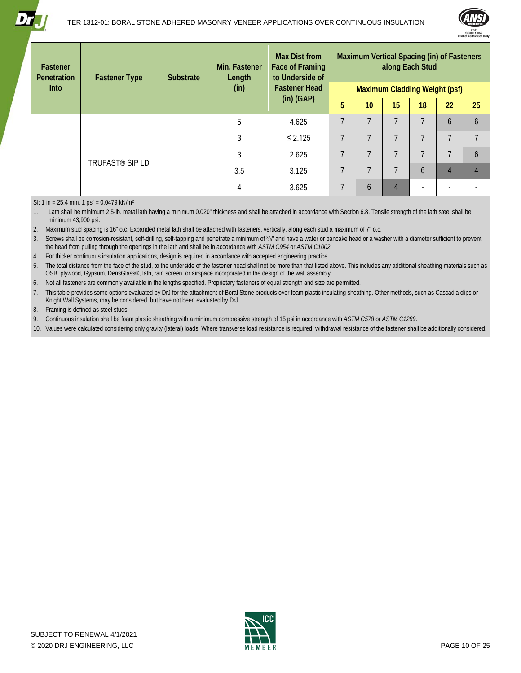



| Fastener<br>Penetration | <b>Fastener Type</b>        | <b>Substrate</b> | Min. Fastener<br>Length | <b>Max Dist from</b><br>Face of Framing<br>to Underside of | Maximum Vertical Spacing (in) of Fasteners<br>along Each Stud |                          |                               |                          |                |    |  |
|-------------------------|-----------------------------|------------------|-------------------------|------------------------------------------------------------|---------------------------------------------------------------|--------------------------|-------------------------------|--------------------------|----------------|----|--|
| <b>Into</b>             |                             |                  | (in)                    | <b>Fastener Head</b><br>$(in)$ (GAP)                       |                                                               |                          | Maximum Cladding Weight (psf) |                          |                |    |  |
|                         |                             |                  |                         |                                                            | 5                                                             | 10 <sup>1</sup>          | 15                            | 18                       | 22             | 25 |  |
|                         |                             |                  | 5                       | 4.625                                                      | $\overline{7}$                                                | ℸ                        | 7                             | ᄀ                        | 6              | 6  |  |
|                         |                             |                  | 3                       | $\leq 2.125$                                               | $\overline{7}$                                                | $\overline{\phantom{a}}$ | $\overline{ }$                | $\overline{\phantom{a}}$ | $\overline{7}$ |    |  |
|                         | TRUFAST <sup>®</sup> SIP LD |                  | 3                       | 2.625                                                      | $\overline{7}$                                                | $\overline{\phantom{a}}$ | ᄀ                             | $\overline{ }$           | $\overline{7}$ | 6  |  |
|                         |                             |                  | 3.5                     | 3.125                                                      | $\overline{7}$                                                | $\overline{ }$           | ᄀ                             | 6                        | $\overline{4}$ |    |  |
|                         |                             |                  | 4                       | 3.625                                                      | $\overline{7}$                                                | 6                        | 4                             |                          |                |    |  |

SI: 1 in = 25.4 mm, 1 psf =  $0.0479$  kN/m<sup>2</sup>

1. Lath shall be minimum 2.5-lb. metal lath having a minimum 0.020" thickness and shall be attached in accordance with Sectio[n 6.8.](#page-17-0) Tensile strength of the lath steel shall be minimum 43,900 psi.

2. Maximum stud spacing is 16" o.c. Expanded metal lath shall be attached with fasteners, vertically, along each stud a maximum of 7" o.c.

3. Screws shall be corrosion-resistant, self-drilling, self-tapping and penetrate a minimum of  $\frac{3}{8}$ " and have a wafer or pancake head or a washer with a diameter sufficient to prevent the head from pulling through the openings in the lath and shall be in accordance with *ASTM C954* or *ASTM C1002*.

4. For thicker continuous insulation applications, design is required in accordance with accepted engineering practice.

5. The total distance from the face of the stud, to the underside of the fastener head shall not be more than that listed above. This includes any additional sheathing materials such as OSB, plywood, Gypsum, DensGlass®, lath, rain screen, or airspace incorporated in the design of the wall assembly.

6. Not all fasteners are commonly available in the lengths specified. Proprietary fasteners of equal strength and size are permitted.

7. This table provides some options evaluated by DrJ for the attachment of Boral Stone products over foam plastic insulating sheathing. Other methods, such as Cascadia clips or Knight Wall Systems, may be considered, but have not been evaluated by DrJ.

8. Framing is defined as steel studs.

9. Continuous insulation shall be foam plastic sheathing with a minimum compressive strength of 15 psi in accordance with *ASTM C578* or *ASTM C1289*.

10. Values were calculated considering only gravity (lateral) loads. Where transverse load resistance is required, withdrawal resistance of the fastener shall be additionally considered.

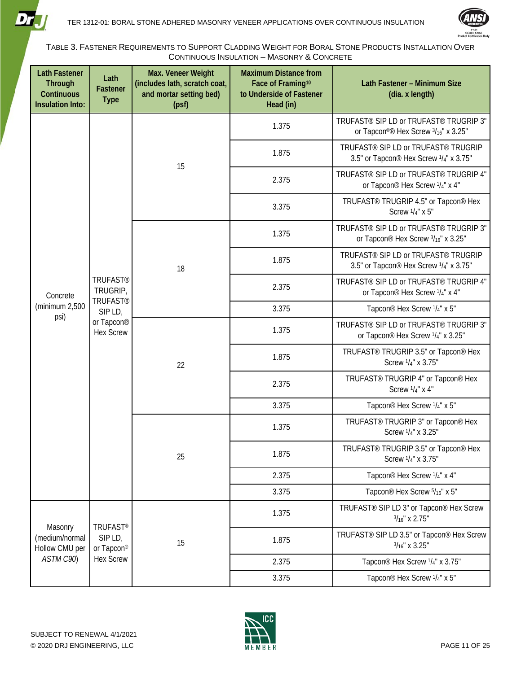



<span id="page-10-0"></span>TABLE 3. FASTENER REQUIREMENTS TO SUPPORT CLADDING WEIGHT FOR BORAL STONE PRODUCTS INSTALLATION OVER CONTINUOUS INSULATION – MASONRY & CONCRETE

| <b>Lath Fastener</b><br><b>Through</b><br><b>Continuous</b><br><b>Insulation Into:</b> | Lath<br><b>Fastener</b><br><b>Type</b>                                                      | Max. Veneer Weight<br>(includes lath, scratch coat,<br>and mortar setting bed)<br>(psf) | <b>Maximum Distance from</b><br>Face of Framing <sup>10</sup><br>to Underside of Fastener<br>Head (in) | Lath Fastener - Minimum Size<br>(dia. x length)                                                       |
|----------------------------------------------------------------------------------------|---------------------------------------------------------------------------------------------|-----------------------------------------------------------------------------------------|--------------------------------------------------------------------------------------------------------|-------------------------------------------------------------------------------------------------------|
|                                                                                        |                                                                                             |                                                                                         | 1.375                                                                                                  | TRUFAST <sup>®</sup> SIP LD or TRUFAST <sup>®</sup> TRUGRIP 3"<br>or Tapcon®® Hex Screw 3/16" x 3.25" |
|                                                                                        |                                                                                             | 15                                                                                      | 1.875                                                                                                  | TRUFAST® SIP LD or TRUFAST® TRUGRIP<br>3.5" or Tapcon® Hex Screw 1/4" x 3.75"                         |
|                                                                                        |                                                                                             |                                                                                         | 2.375                                                                                                  | TRUFAST <sup>®</sup> SIP LD or TRUFAST <sup>®</sup> TRUGRIP 4"<br>or Tapcon® Hex Screw 1/4" x 4"      |
|                                                                                        |                                                                                             |                                                                                         | 3.375                                                                                                  | TRUFAST <sup>®</sup> TRUGRIP 4.5" or Tapcon <sup>®</sup> Hex<br>Screw 1/4" x 5"                       |
|                                                                                        |                                                                                             |                                                                                         | 1.375                                                                                                  | TRUFAST <sup>®</sup> SIP LD or TRUFAST <sup>®</sup> TRUGRIP 3"<br>or Tapcon® Hex Screw 3/16" x 3.25"  |
|                                                                                        | <b>TRUFAST®</b><br>TRUGRIP,<br><b>TRUFAST®</b><br>SIP LD,<br>or Tapcon®<br><b>Hex Screw</b> | 18<br>22                                                                                | 1.875                                                                                                  | TRUFAST <sup>®</sup> SIP LD or TRUFAST <sup>®</sup> TRUGRIP<br>3.5" or Tapcon® Hex Screw 1/4" x 3.75" |
| Concrete                                                                               |                                                                                             |                                                                                         | 2.375                                                                                                  | TRUFAST <sup>®</sup> SIP LD or TRUFAST <sup>®</sup> TRUGRIP 4"<br>or Tapcon® Hex Screw 1/4" x 4"      |
| (minimum 2,500                                                                         |                                                                                             |                                                                                         | 3.375                                                                                                  | Tapcon® Hex Screw 1/4" x 5"                                                                           |
| psi)                                                                                   |                                                                                             |                                                                                         | 1.375                                                                                                  | TRUFAST <sup>®</sup> SIP LD or TRUFAST <sup>®</sup> TRUGRIP 3"<br>or Tapcon® Hex Screw 1/4" x 3.25"   |
|                                                                                        |                                                                                             |                                                                                         | 1.875                                                                                                  | TRUFAST® TRUGRIP 3.5" or Tapcon® Hex<br>Screw 1/4" x 3.75"                                            |
|                                                                                        |                                                                                             |                                                                                         | 2.375                                                                                                  | TRUFAST® TRUGRIP 4" or Tapcon® Hex<br>Screw $1/4$ " x 4"                                              |
|                                                                                        |                                                                                             |                                                                                         | 3.375                                                                                                  | Tapcon® Hex Screw 1/4" x 5"                                                                           |
|                                                                                        |                                                                                             |                                                                                         | 1.375                                                                                                  | TRUFAST <sup>®</sup> TRUGRIP 3" or Tapcon <sup>®</sup> Hex<br>Screw 1/4" x 3.25"                      |
|                                                                                        |                                                                                             | 25                                                                                      | 1.875                                                                                                  | TRUFAST® TRUGRIP 3.5" or Tapcon® Hex<br>Screw 1/4" x 3.75"                                            |
|                                                                                        |                                                                                             |                                                                                         | 2.375                                                                                                  | Tapcon® Hex Screw 1/4" x 4"                                                                           |
|                                                                                        |                                                                                             |                                                                                         | 3.375                                                                                                  | Tapcon® Hex Screw 5/16" x 5"                                                                          |
| Masonry                                                                                | <b>TRUFAST®</b>                                                                             |                                                                                         | 1.375                                                                                                  | TRUFAST <sup>®</sup> SIP LD 3" or Tapcon® Hex Screw<br>$3/16$ " x 2.75"                               |
| (medium/normal<br>Hollow CMU per                                                       | SIP LD,<br>or Tapcon®                                                                       | 15                                                                                      | 1.875                                                                                                  | TRUFAST <sup>®</sup> SIP LD 3.5" or Tapcon® Hex Screw<br>$3/16$ " x 3.25"                             |
| ASTM C90)                                                                              | <b>Hex Screw</b>                                                                            |                                                                                         | 2.375                                                                                                  | Tapcon® Hex Screw 1/4" x 3.75"                                                                        |
|                                                                                        |                                                                                             |                                                                                         | 3.375                                                                                                  | Tapcon® Hex Screw 1/4" x 5"                                                                           |

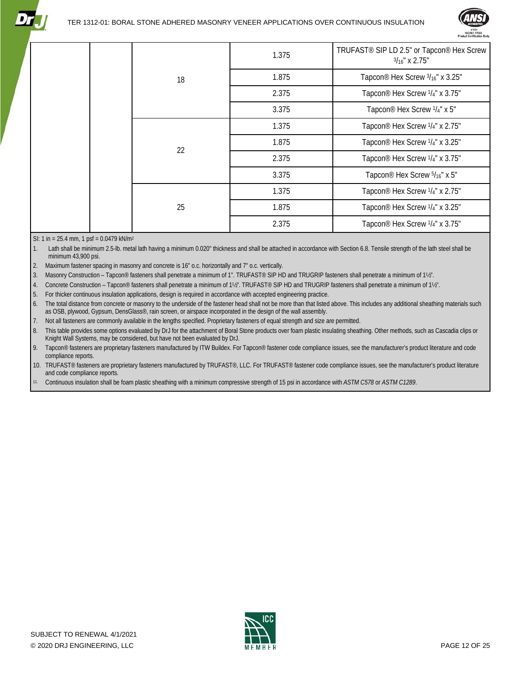

|    | 1.375 | TRUFAST <sup>®</sup> SIP LD 2.5" or Tapcon <sup>®</sup> Hex Screw<br>$3/16$ " x 2.75" |
|----|-------|---------------------------------------------------------------------------------------|
| 18 | 1.875 | Tapcon® Hex Screw 3/16" x 3.25"                                                       |
|    | 2.375 | Tapcon® Hex Screw 1/4" x 3.75"                                                        |
|    | 3.375 | Tapcon® Hex Screw 1/4" x 5"                                                           |
|    | 1.375 | Tapcon® Hex Screw 1/4" x 2.75"                                                        |
| 22 | 1.875 | Tapcon® Hex Screw 1/4" x 3.25"                                                        |
|    | 2.375 | Tapcon® Hex Screw 1/4" x 3.75"                                                        |
|    | 3.375 | Tapcon® Hex Screw 5/16" x 5"                                                          |
|    | 1.375 | Tapcon® Hex Screw 1/4" x 2.75"                                                        |
| 25 | 1.875 | Tapcon® Hex Screw 1/4" x 3.25"                                                        |
|    | 2.375 | Tapcon® Hex Screw 1/4" x 3.75"                                                        |

SI: 1 in = 25.4 mm, 1 psf = 0.0479 kN/m2

1. Lath shall be minimum 2.5-lb. metal lath having a minimum 0.020" thickness and shall be attached in accordance with Sectio[n 6.8.](#page-17-0) Tensile strength of the lath steel shall be minimum 43,900 psi.

2. Maximum fastener spacing in masonry and concrete is 16" o.c. horizontally and 7" o.c. vertically.

3. Masonry Construction – Tapcon® fasteners shall penetrate a minimum of 1". TRUFAST® SIP HD and TRUGRIP fasteners shall penetrate a minimum of 1½".

4. Concrete Construction – Tapcon® fasteners shall penetrate a minimum of 1½". TRUFAST® SIP HD and TRUGRIP fasteners shall penetrate a minimum of 1½".

5. For thicker continuous insulation applications, design is required in accordance with accepted engineering practice.

6. The total distance from concrete or masonry to the underside of the fastener head shall not be more than that listed above. This includes any additional sheathing materials such as OSB, plywood, Gypsum, DensGlass®, rain screen, or airspace incorporated in the design of the wall assembly.

7. Not all fasteners are commonly available in the lengths specified. Proprietary fasteners of equal strength and size are permitted.

8. This table provides some options evaluated by DrJ for the attachment of Boral Stone products over foam plastic insulating sheathing. Other methods, such as Cascadia clips or Knight Wall Systems, may be considered, but have not been evaluated by DrJ.

9. Tapcon® fasteners are proprietary fasteners manufactured by ITW Buildex. For Tapcon® fastener code compliance issues, see the manufacturer's product literature and code compliance reports.

10. TRUFAST® fasteners are proprietary fasteners manufactured by TRUFAST®, LLC. For TRUFAST® fastener code compliance issues, see the manufacturer's product literature and code compliance reports.

11. Continuous insulation shall be foam plastic sheathing with a minimum compressive strength of 15 psi in accordance with *ASTM C578* or *ASTM C1289*.

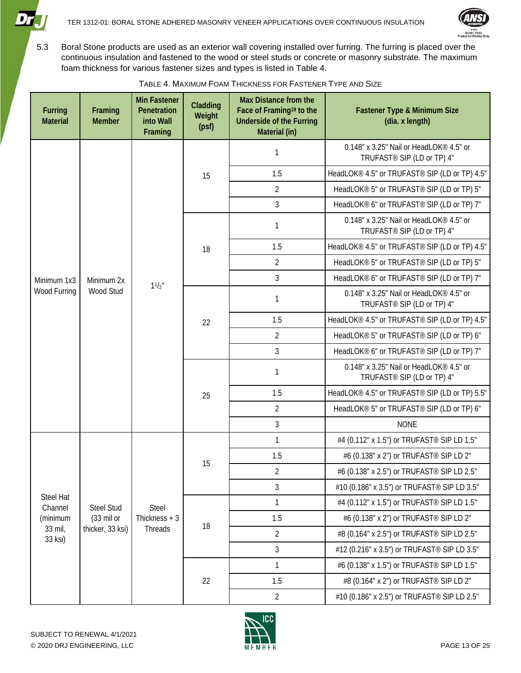



5.3 Boral Stone products are used as an exterior wall covering installed over furring. The furring is placed over the continuous insulation and fastened to the wood or steel studs or concrete or masonry substrate. The maximum foam thickness for various fastener sizes and types is listed in [Table 4.](#page-12-0)

<span id="page-12-0"></span>

| Furring<br><b>Material</b> | Framing<br><b>Member</b> | <b>Min Fastener</b><br>Penetration<br>into Wall<br>Framing | Cladding<br>Weight<br>(psf) | <b>Max Distance from the</b><br>Face of Framing <sup>19</sup> to the<br><b>Underside of the Furring</b><br>Material (in) | Fastener Type & Minimum Size<br>(dia. x length)                                   |
|----------------------------|--------------------------|------------------------------------------------------------|-----------------------------|--------------------------------------------------------------------------------------------------------------------------|-----------------------------------------------------------------------------------|
|                            |                          |                                                            |                             | 1                                                                                                                        | 0.148" x 3.25" Nail or HeadLOK® 4.5" or<br>TRUFAST <sup>®</sup> SIP (LD or TP) 4" |
|                            |                          |                                                            | 15                          | 1.5                                                                                                                      | HeadLOK® 4.5" or TRUFAST® SIP (LD or TP) 4.5"                                     |
|                            |                          |                                                            |                             | $\overline{2}$                                                                                                           | HeadLOK® 5" or TRUFAST® SIP (LD or TP) 5"                                         |
|                            |                          |                                                            |                             | 3                                                                                                                        | HeadLOK® 6" or TRUFAST® SIP (LD or TP) 7"                                         |
|                            |                          |                                                            |                             | 1                                                                                                                        | 0.148" x 3.25" Nail or HeadLOK® 4.5" or<br>TRUFAST <sup>®</sup> SIP (LD or TP) 4" |
|                            |                          |                                                            | 18                          | 1.5                                                                                                                      | HeadLOK® 4.5" or TRUFAST® SIP (LD or TP) 4.5"                                     |
|                            |                          |                                                            |                             | $\overline{2}$                                                                                                           | HeadLOK® 5" or TRUFAST® SIP (LD or TP) 5"                                         |
| Minimum 1x3                | Minimum 2x<br>Wood Stud  | $11/2$ "                                                   |                             | 3                                                                                                                        | HeadLOK® 6" or TRUFAST® SIP (LD or TP) 7"                                         |
| Wood Furring               |                          |                                                            |                             | 1                                                                                                                        | 0.148" x 3.25" Nail or HeadLOK® 4.5" or<br>TRUFAST <sup>®</sup> SIP (LD or TP) 4" |
|                            |                          |                                                            | 22<br>25                    | 1.5                                                                                                                      | HeadLOK® 4.5" or TRUFAST® SIP (LD or TP) 4.5"                                     |
|                            |                          |                                                            |                             | $\overline{2}$                                                                                                           | HeadLOK® 5" or TRUFAST® SIP (LD or TP) 6"                                         |
|                            |                          |                                                            |                             | 3                                                                                                                        | HeadLOK® 6" or TRUFAST® SIP (LD or TP) 7"                                         |
|                            |                          |                                                            |                             | 1                                                                                                                        | 0.148" x 3.25" Nail or HeadLOK® 4.5" or<br>TRUFAST <sup>®</sup> SIP (LD or TP) 4" |
|                            |                          |                                                            |                             | 1.5                                                                                                                      | HeadLOK® 4.5" or TRUFAST® SIP (LD or TP) 5.5"                                     |
|                            |                          |                                                            |                             | $\overline{2}$                                                                                                           | HeadLOK® 5" or TRUFAST® SIP (LD or TP) 6"                                         |
|                            |                          |                                                            |                             | 3                                                                                                                        | <b>NONE</b>                                                                       |
|                            |                          |                                                            |                             | 1                                                                                                                        | #4 (0.112" x 1.5") or TRUFAST <sup>®</sup> SIP LD 1.5"                            |
|                            |                          |                                                            | 15                          | 1.5                                                                                                                      | #6 (0.138" x 2") or TRUFAST <sup>®</sup> SIP LD 2"                                |
|                            |                          |                                                            |                             | $\overline{2}$                                                                                                           | #6 (0.138" x 2.5") or TRUFAST <sup>®</sup> SIP LD 2.5"                            |
|                            |                          |                                                            |                             | 3                                                                                                                        | #10 (0.186" x 3.5") or TRUFAST <sup>®</sup> SIP LD 3.5"                           |
| Steel Hat<br>Channel       | <b>Steel Stud</b>        | <b>Steel</b>                                               |                             | $\mathbf{1}$                                                                                                             | #4 (0.112" x 1.5") or TRUFAST <sup>®</sup> SIP LD 1.5"                            |
| (minimum                   | $(33 \text{ mil})$       | Thickness $+3$                                             | 18                          | 1.5                                                                                                                      | #6 (0.138" x 2") or TRUFAST <sup>®</sup> SIP LD 2"                                |
| 33 mil,<br>33 ksi)         | thicker, 33 ksi)         | Threads                                                    |                             | 2                                                                                                                        | #8 (0.164" x 2.5") or TRUFAST <sup>®</sup> SIP LD 2.5"                            |
|                            |                          |                                                            |                             | 3                                                                                                                        | #12 (0.216" x 3.5") or TRUFAST <sup>®</sup> SIP LD 3.5"                           |
|                            |                          |                                                            |                             | 1                                                                                                                        | #6 (0.138" x 1.5") or TRUFAST <sup>®</sup> SIP LD 1.5"                            |
|                            |                          |                                                            | 22                          | 1.5                                                                                                                      | #8 (0.164" x 2") or TRUFAST <sup>®</sup> SIP LD 2"                                |
|                            |                          |                                                            |                             | $\overline{2}$                                                                                                           | #10 (0.186" x 2.5") or TRUFAST <sup>®</sup> SIP LD 2.5"                           |

TABLE 4. MAXIMUM FOAM THICKNESS FOR FASTENER TYPE AND SIZE

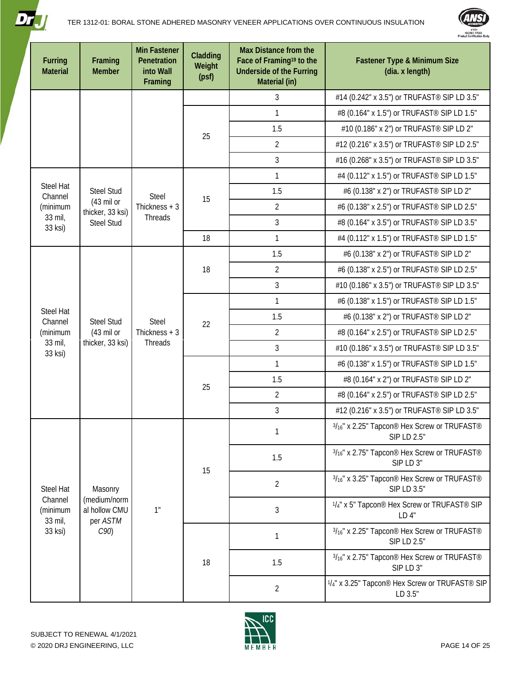



| Furring<br><b>Material</b>     | Framing<br><b>Member</b>                                       | <b>Min Fastener</b><br>Penetration<br>into Wall<br>Framing | Cladding<br>Weight<br>(psf) | <b>Max Distance from the</b><br>Face of Framing <sup>19</sup> to the<br><b>Underside of the Furring</b><br>Material (in) | Fastener Type & Minimum Size<br>(dia. x length)                       |
|--------------------------------|----------------------------------------------------------------|------------------------------------------------------------|-----------------------------|--------------------------------------------------------------------------------------------------------------------------|-----------------------------------------------------------------------|
|                                |                                                                |                                                            |                             | 3                                                                                                                        | #14 (0.242" x 3.5") or TRUFAST <sup>®</sup> SIP LD 3.5"               |
|                                |                                                                |                                                            |                             | 1                                                                                                                        | #8 (0.164" x 1.5") or TRUFAST <sup>®</sup> SIP LD 1.5"                |
|                                |                                                                |                                                            |                             | 1.5                                                                                                                      | #10 (0.186" x 2") or TRUFAST <sup>®</sup> SIP LD 2"                   |
|                                |                                                                |                                                            | 25                          | $\overline{2}$                                                                                                           | #12 (0.216" x 3.5") or TRUFAST <sup>®</sup> SIP LD 2.5"               |
|                                |                                                                |                                                            |                             | 3                                                                                                                        | #16 (0.268" x 3.5") or TRUFAST <sup>®</sup> SIP LD 3.5"               |
|                                |                                                                |                                                            |                             | $\mathbf{1}$                                                                                                             | #4 (0.112" x 1.5") or TRUFAST <sup>®</sup> SIP LD 1.5"                |
| <b>Steel Hat</b><br>Channel    | <b>Steel Stud</b>                                              | <b>Steel</b>                                               | 15                          | 1.5                                                                                                                      | #6 (0.138" x 2") or TRUFAST <sup>®</sup> SIP LD 2"                    |
| (minimum                       | $(43 \text{ mil} \text{ or }$<br>thicker, 33 ksi)              | Thickness $+3$                                             |                             | $\overline{2}$                                                                                                           | #6 (0.138" x 2.5") or TRUFAST <sup>®</sup> SIP LD 2.5"                |
| 33 mil,<br>33 ksi)             | <b>Steel Stud</b>                                              | Threads                                                    |                             | 3                                                                                                                        | #8 (0.164" x 3.5") or TRUFAST <sup>®</sup> SIP LD 3.5"                |
|                                |                                                                |                                                            | 18                          | $\mathbf{1}$                                                                                                             | #4 (0.112" x 1.5") or TRUFAST <sup>®</sup> SIP LD 1.5"                |
|                                |                                                                |                                                            |                             | 1.5                                                                                                                      | #6 (0.138" x 2") or TRUFAST <sup>®</sup> SIP LD 2"                    |
|                                |                                                                | <b>Steel</b><br>Thickness $+3$<br>Threads                  | 18                          | $\overline{2}$                                                                                                           | #6 (0.138" x 2.5") or TRUFAST <sup>®</sup> SIP LD 2.5"                |
|                                | <b>Steel Stud</b><br>$(43 \text{ mil of})$<br>thicker, 33 ksi) |                                                            |                             | 3                                                                                                                        | #10 (0.186" x 3.5") or TRUFAST <sup>®</sup> SIP LD 3.5"               |
|                                |                                                                |                                                            | 22<br>25                    | $\mathbf{1}$                                                                                                             | #6 (0.138" x 1.5") or TRUFAST <sup>®</sup> SIP LD 1.5"                |
| Steel Hat<br>Channel           |                                                                |                                                            |                             | 1.5                                                                                                                      | #6 (0.138" x 2") or TRUFAST <sup>®</sup> SIP LD 2"                    |
| (minimum                       |                                                                |                                                            |                             | $\overline{2}$                                                                                                           | #8 (0.164" x 2.5") or TRUFAST <sup>®</sup> SIP LD 2.5"                |
| 33 mil,<br>33 ksi)             |                                                                |                                                            |                             | 3                                                                                                                        | #10 (0.186" x 3.5") or TRUFAST <sup>®</sup> SIP LD 3.5"               |
|                                |                                                                |                                                            |                             | $\mathbf{1}$                                                                                                             | #6 (0.138" x 1.5") or TRUFAST <sup>®</sup> SIP LD 1.5"                |
|                                |                                                                |                                                            |                             | 1.5                                                                                                                      | #8 (0.164" x 2") or TRUFAST <sup>®</sup> SIP LD 2"                    |
|                                |                                                                |                                                            |                             | $\overline{2}$                                                                                                           | #8 (0.164" x 2.5") or TRUFAST <sup>®</sup> SIP LD 2.5"                |
|                                |                                                                |                                                            |                             | 3                                                                                                                        | #12 (0.216" x 3.5") or TRUFAST <sup>®</sup> SIP LD 3.5"               |
|                                |                                                                |                                                            |                             | 1                                                                                                                        | 3/16" x 2.25" Tapcon® Hex Screw or TRUFAST®<br>SIP LD 2.5"            |
|                                |                                                                |                                                            | 15                          | 1.5                                                                                                                      | 3/16" x 2.75" Tapcon® Hex Screw or TRUFAST®<br>SIP LD 3"              |
| <b>Steel Hat</b>               | Masonry                                                        |                                                            |                             | $\overline{2}$                                                                                                           | 3/16" x 3.25" Tapcon® Hex Screw or TRUFAST®<br>SIP LD 3.5"            |
| Channel<br>(minimum<br>33 mil, | (medium/norm<br>al hollow CMU<br>per ASTM                      | 1"                                                         |                             | 3                                                                                                                        | 1/4" x 5" Tapcon® Hex Screw or TRUFAST® SIP<br>LD4"                   |
| 33 ksi)                        | C90                                                            |                                                            |                             | 1                                                                                                                        | 3/16" x 2.25" Tapcon® Hex Screw or TRUFAST®<br>SIP LD 2.5"            |
|                                |                                                                |                                                            | 18                          | 1.5                                                                                                                      | 3/ <sub>16</sub> " x 2.75" Tapcon® Hex Screw or TRUFAST®<br>SIP LD 3" |
|                                |                                                                |                                                            |                             | $\overline{2}$                                                                                                           | 1/4" x 3.25" Tapcon® Hex Screw or TRUFAST® SIP<br>LD 3.5"             |

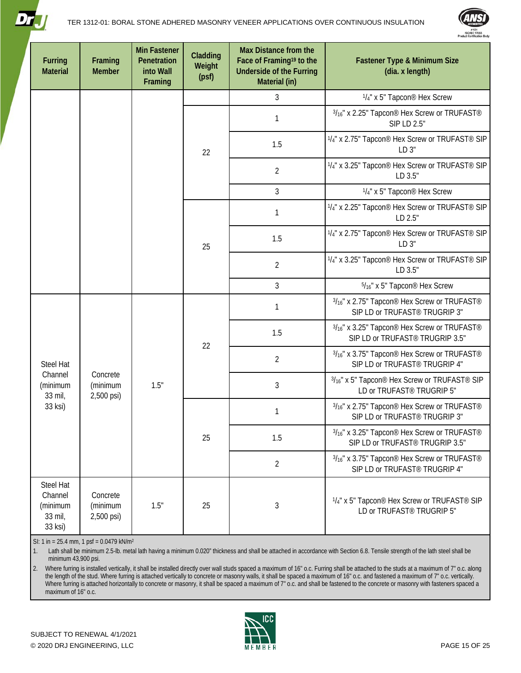



| Furring<br><b>Material</b>                             | Framing<br><b>Member</b>           | <b>Min Fastener</b><br>Penetration<br>into Wall<br>Framing | Cladding<br>Weight<br>(psf) | <b>Max Distance from the</b><br>Face of Framing <sup>19</sup> to the<br><b>Underside of the Furring</b><br>Material (in) | <b>Fastener Type &amp; Minimum Size</b><br>(dia. x length)                                              |
|--------------------------------------------------------|------------------------------------|------------------------------------------------------------|-----------------------------|--------------------------------------------------------------------------------------------------------------------------|---------------------------------------------------------------------------------------------------------|
|                                                        |                                    |                                                            |                             | $\mathfrak{Z}$                                                                                                           | 1/4" x 5" Tapcon <sup>®</sup> Hex Screw                                                                 |
|                                                        |                                    |                                                            |                             | $\mathbf{1}$                                                                                                             | 3/16" x 2.25" Tapcon® Hex Screw or TRUFAST®<br>SIP LD 2.5"                                              |
|                                                        |                                    |                                                            | 22                          | 1.5                                                                                                                      | 1/4" x 2.75" Tapcon® Hex Screw or TRUFAST® SIP<br>$LD3$ "                                               |
|                                                        |                                    |                                                            |                             | $\overline{2}$                                                                                                           | 1/4" x 3.25" Tapcon® Hex Screw or TRUFAST® SIP<br>LD 3.5"                                               |
|                                                        |                                    |                                                            |                             | $\mathfrak{Z}$                                                                                                           | 1/4" x 5" Tapcon <sup>®</sup> Hex Screw                                                                 |
|                                                        |                                    |                                                            |                             | 1                                                                                                                        | 1/ <sub>4</sub> " x 2.25" Tapcon <sup>®</sup> Hex Screw or TRUFAST <sup>®</sup> SIP<br>LD 2.5"          |
|                                                        |                                    |                                                            | 25                          | 1.5                                                                                                                      | 1/4" x 2.75" Tapcon® Hex Screw or TRUFAST® SIP<br>LD 3"                                                 |
|                                                        |                                    |                                                            |                             | $\overline{2}$                                                                                                           | 1/ <sub>4</sub> " x 3.25" Tapcon <sup>®</sup> Hex Screw or TRUFAST <sup>®</sup> SIP<br>LD 3.5"          |
|                                                        |                                    |                                                            |                             | $\mathfrak{Z}$                                                                                                           | $5/16$ " x 5" Tapcon® Hex Screw                                                                         |
|                                                        |                                    |                                                            |                             | $\mathbf{1}$                                                                                                             | 3/16" x 2.75" Tapcon® Hex Screw or TRUFAST®<br>SIP LD or TRUFAST® TRUGRIP 3"                            |
|                                                        |                                    |                                                            | 22                          | 1.5                                                                                                                      | 3/ <sub>16</sub> " x 3.25" Tapcon® Hex Screw or TRUFAST®<br>SIP LD or TRUFAST <sup>®</sup> TRUGRIP 3.5" |
| Steel Hat                                              |                                    |                                                            |                             | $\overline{2}$                                                                                                           | 3/16" x 3.75" Tapcon® Hex Screw or TRUFAST®<br>SIP LD or TRUFAST® TRUGRIP 4"                            |
| Channel<br>(minimum<br>33 mil,                         | Concrete<br>(minimum<br>2,500 psi) | 1.5"                                                       |                             | 3                                                                                                                        | 3/16" x 5" Tapcon® Hex Screw or TRUFAST® SIP<br>LD or TRUFAST® TRUGRIP 5"                               |
| 33 ksi)                                                |                                    |                                                            |                             | 1                                                                                                                        | 3/16" x 2.75" Tapcon® Hex Screw or TRUFAST®<br>SIP LD or TRUFAST <sup>®</sup> TRUGRIP 3"                |
|                                                        |                                    |                                                            | 25                          | 1.5                                                                                                                      | 3/16" x 3.25" Tapcon® Hex Screw or TRUFAST®<br>SIP LD or TRUFAST® TRUGRIP 3.5"                          |
|                                                        |                                    |                                                            |                             | $\overline{2}$                                                                                                           | 3/16" x 3.75" Tapcon® Hex Screw or TRUFAST®<br>SIP LD or TRUFAST® TRUGRIP 4"                            |
| Steel Hat<br>Channel<br>(minimum<br>33 mil,<br>33 ksi) | Concrete<br>(minimum<br>2,500 psi) | 1.5"                                                       | 25                          | 3                                                                                                                        | 1/4" x 5" Tapcon® Hex Screw or TRUFAST® SIP<br>LD or TRUFAST® TRUGRIP 5"                                |

SI: 1 in = 25.4 mm, 1 psf = 0.0479 kN/m2

1. Lath shall be minimum 2.5-lb. metal lath having a minimum 0.020" thickness and shall be attached in accordance with Sectio[n 6.8.](#page-17-0) Tensile strength of the lath steel shall be minimum 43,900 psi.

2. Where furring is installed vertically, it shall be installed directly over wall studs spaced a maximum of 16" o.c. Furring shall be attached to the studs at a maximum of 7" o.c. along the length of the stud. Where furring is attached vertically to concrete or masonry walls, it shall be spaced a maximum of 16" o.c. and fastened a maximum of 7" o.c. vertically. Where furring is attached horizontally to concrete or masonry, it shall be spaced a maximum of 7" o.c. and shall be fastened to the concrete or masonry with fasteners spaced a maximum of 16" o.c.

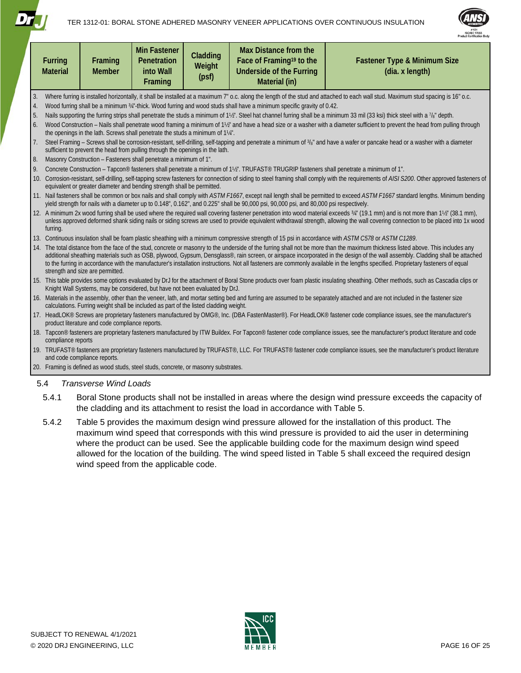



|    | <b>Furring</b><br><b>Material</b>                                                                                                                                                                                                                              | Framing<br><b>Member</b>                        | <b>Min Fastener</b><br>Penetration<br>into Wall<br>Framing                            | Cladding<br>Weight<br>(psf) | Max Distance from the<br>Face of Framing <sup>19</sup> to the<br><b>Underside of the Furring</b><br>Material (in)                                   | <b>Fastener Type &amp; Minimum Size</b><br>(dia. x length)                                                                                                                                                                                                                                                                                                                                                                                                                                                                                               |  |  |  |  |  |
|----|----------------------------------------------------------------------------------------------------------------------------------------------------------------------------------------------------------------------------------------------------------------|-------------------------------------------------|---------------------------------------------------------------------------------------|-----------------------------|-----------------------------------------------------------------------------------------------------------------------------------------------------|----------------------------------------------------------------------------------------------------------------------------------------------------------------------------------------------------------------------------------------------------------------------------------------------------------------------------------------------------------------------------------------------------------------------------------------------------------------------------------------------------------------------------------------------------------|--|--|--|--|--|
| 3. |                                                                                                                                                                                                                                                                |                                                 |                                                                                       |                             |                                                                                                                                                     | Where furring is installed horizontally, it shall be installed at a maximum 7" o.c. along the length of the stud and attached to each wall stud. Maximum stud spacing is 16" o.c.                                                                                                                                                                                                                                                                                                                                                                        |  |  |  |  |  |
| 4. |                                                                                                                                                                                                                                                                |                                                 |                                                                                       |                             | Wood furring shall be a minimum 34"-thick. Wood furring and wood studs shall have a minimum specific gravity of 0.42.                               |                                                                                                                                                                                                                                                                                                                                                                                                                                                                                                                                                          |  |  |  |  |  |
| 5. |                                                                                                                                                                                                                                                                |                                                 |                                                                                       |                             |                                                                                                                                                     | Nails supporting the furring strips shall penetrate the studs a minimum of 1½". Steel hat channel furring shall be a minimum 33 mil (33 ksi) thick steel with a $\frac{7}{8}$ " depth.                                                                                                                                                                                                                                                                                                                                                                   |  |  |  |  |  |
| 6. |                                                                                                                                                                                                                                                                |                                                 | the openings in the lath. Screws shall penetrate the studs a minimum of 11/4".        |                             |                                                                                                                                                     | Wood Construction - Nails shall penetrate wood framing a minimum of 1½" and have a head size or a washer with a diameter sufficient to prevent the head from pulling through                                                                                                                                                                                                                                                                                                                                                                             |  |  |  |  |  |
| 7. | Steel Framing - Screws shall be corrosion-resistant, self-drilling, self-tapping and penetrate a minimum of 3/8" and have a wafer or pancake head or a washer with a diameter<br>sufficient to prevent the head from pulling through the openings in the lath. |                                                 |                                                                                       |                             |                                                                                                                                                     |                                                                                                                                                                                                                                                                                                                                                                                                                                                                                                                                                          |  |  |  |  |  |
| 8. |                                                                                                                                                                                                                                                                |                                                 | Masonry Construction - Fasteners shall penetrate a minimum of 1".                     |                             |                                                                                                                                                     |                                                                                                                                                                                                                                                                                                                                                                                                                                                                                                                                                          |  |  |  |  |  |
| 9. |                                                                                                                                                                                                                                                                |                                                 |                                                                                       |                             | Concrete Construction - Tapcon® fasteners shall penetrate a minimum of 1½". TRUFAST® TRUGRIP fasteners shall penetrate a minimum of 1".             |                                                                                                                                                                                                                                                                                                                                                                                                                                                                                                                                                          |  |  |  |  |  |
|    |                                                                                                                                                                                                                                                                |                                                 | equivalent or greater diameter and bending strength shall be permitted.               |                             |                                                                                                                                                     | 10. Corrosion-resistant, self-drilling, self-tapping screw fasteners for connection of siding to steel framing shall comply with the requirements of AISI S200. Other approved fasteners of                                                                                                                                                                                                                                                                                                                                                              |  |  |  |  |  |
|    |                                                                                                                                                                                                                                                                |                                                 |                                                                                       |                             | yield strength for nails with a diameter up to 0.148", 0.162", and 0.225" shall be 90,000 psi, 90,000 psi, and 80,000 psi respectively.             | 11. Nail fasteners shall be common or box nails and shall comply with ASTM F1667, except nail length shall be permitted to exceed ASTM F1667 standard lengths. Minimum bending                                                                                                                                                                                                                                                                                                                                                                           |  |  |  |  |  |
|    | furring.                                                                                                                                                                                                                                                       |                                                 |                                                                                       |                             |                                                                                                                                                     | 12. A minimum 2x wood furring shall be used where the required wall covering fastener penetration into wood material exceeds 3/4" (19.1 mm) and is not more than 11/2" (38.1 mm),<br>unless approved deformed shank siding nails or siding screws are used to provide equivalent withdrawal strength, allowing the wall covering connection to be placed into 1x wood                                                                                                                                                                                    |  |  |  |  |  |
|    |                                                                                                                                                                                                                                                                |                                                 |                                                                                       |                             | 13. Continuous insulation shall be foam plastic sheathing with a minimum compressive strength of 15 psi in accordance with ASTM C578 or ASTM C1289. |                                                                                                                                                                                                                                                                                                                                                                                                                                                                                                                                                          |  |  |  |  |  |
|    |                                                                                                                                                                                                                                                                | strength and size are permitted.                |                                                                                       |                             |                                                                                                                                                     | 14. The total distance from the face of the stud, concrete or masonry to the underside of the furring shall not be more than the maximum thickness listed above. This includes any<br>additional sheathing materials such as OSB, plywood, Gypsum, Densglass®, rain screen, or airspace incorporated in the design of the wall assembly. Cladding shall be attached<br>to the furring in accordance with the manufacturer's installation instructions. Not all fasteners are commonly available in the lengths specified. Proprietary fasteners of equal |  |  |  |  |  |
|    |                                                                                                                                                                                                                                                                |                                                 | Knight Wall Systems, may be considered, but have not been evaluated by DrJ.           |                             |                                                                                                                                                     | 15. This table provides some options evaluated by DrJ for the attachment of Boral Stone products over foam plastic insulating sheathing. Other methods, such as Cascadia clips or                                                                                                                                                                                                                                                                                                                                                                        |  |  |  |  |  |
|    |                                                                                                                                                                                                                                                                |                                                 | calculations. Furring weight shall be included as part of the listed cladding weight. |                             |                                                                                                                                                     | 16. Materials in the assembly, other than the veneer, lath, and mortar setting bed and furring are assumed to be separately attached and are not included in the fastener size                                                                                                                                                                                                                                                                                                                                                                           |  |  |  |  |  |
|    |                                                                                                                                                                                                                                                                | product literature and code compliance reports. |                                                                                       |                             |                                                                                                                                                     | 17. HeadLOK® Screws are proprietary fasteners manufactured by OMG®, Inc. (DBA FastenMaster®). For HeadLOK® fastener code compliance issues, see the manufacturer's                                                                                                                                                                                                                                                                                                                                                                                       |  |  |  |  |  |
|    | compliance reports                                                                                                                                                                                                                                             |                                                 |                                                                                       |                             |                                                                                                                                                     | 18. Tapcon® fasteners are proprietary fasteners manufactured by ITW Buildex. For Tapcon® fastener code compliance issues, see the manufacturer's product literature and code                                                                                                                                                                                                                                                                                                                                                                             |  |  |  |  |  |
|    |                                                                                                                                                                                                                                                                | and code compliance reports.                    |                                                                                       |                             |                                                                                                                                                     | 19. TRUFAST® fasteners are proprietary fasteners manufactured by TRUFAST®, LLC. For TRUFAST® fastener code compliance issues, see the manufacturer's product literature                                                                                                                                                                                                                                                                                                                                                                                  |  |  |  |  |  |
|    |                                                                                                                                                                                                                                                                |                                                 | 20. Framing is defined as wood studs, steel studs, concrete, or masonry substrates.   |                             |                                                                                                                                                     |                                                                                                                                                                                                                                                                                                                                                                                                                                                                                                                                                          |  |  |  |  |  |
|    | 5.4                                                                                                                                                                                                                                                            | <b>Transverse Wind Loads</b>                    |                                                                                       |                             |                                                                                                                                                     |                                                                                                                                                                                                                                                                                                                                                                                                                                                                                                                                                          |  |  |  |  |  |
|    | 5.4.1                                                                                                                                                                                                                                                          |                                                 |                                                                                       |                             |                                                                                                                                                     | Boral Stone products shall not be installed in areas where the design wind pressure exceeds the capacity of                                                                                                                                                                                                                                                                                                                                                                                                                                              |  |  |  |  |  |
|    |                                                                                                                                                                                                                                                                |                                                 |                                                                                       |                             | the cladding and its attachment to resist the load in accordance with Table 5.                                                                      |                                                                                                                                                                                                                                                                                                                                                                                                                                                                                                                                                          |  |  |  |  |  |

5.4.2 [Table 5](#page-16-0) provides the maximum design wind pressure allowed for the installation of this product. The maximum wind speed that corresponds with this wind pressure is provided to aid the user in determining where the product can be used. See the applicable building code for the maximum design wind speed allowed for the location of the building. The wind speed listed in [Table 5](#page-16-0) shall exceed the required design wind speed from the applicable code.

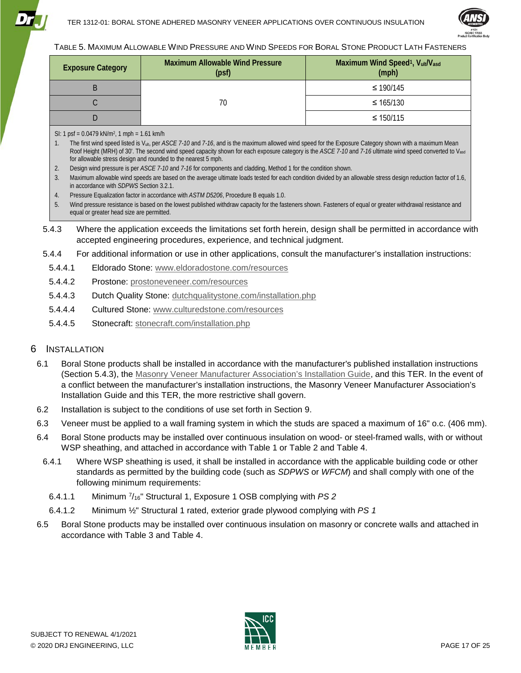



#### <span id="page-16-0"></span>TABLE 5. MAXIMUM ALLOWABLE WIND PRESSURE AND WIND SPEEDS FOR BORAL STONE PRODUCT LATH FASTENERS

| <b>Exposure Category</b> | <b>Maximum Allowable Wind Pressure</b><br>(psf) | Maximum Wind Speed <sup>1</sup> , Vult/Vasd<br>(mph) |
|--------------------------|-------------------------------------------------|------------------------------------------------------|
|                          |                                                 | ≤ 190/145                                            |
| ÷                        | 70                                              | $\leq 165/130$                                       |
|                          |                                                 | $\leq 150/115$                                       |

- SI: 1 psf =  $0.0479$  kN/m<sup>2</sup>, 1 mph =  $1.61$  km/h
- 1. The first wind speed listed is Vult, per *ASCE 7-10* and *7-16*, and is the maximum allowed wind speed for the Exposure Category shown with a maximum Mean Roof Height (MRH) of 30'. The second wind speed capacity shown for each exposure category is the *ASCE 7-10* and *7-16* ultimate wind speed converted to Vasd for allowable stress design and rounded to the nearest 5 mph.
- 2. Design wind pressure is per *ASCE 7-10* and *7-16* for components and cladding, Method 1 for the condition shown.
- 3. Maximum allowable wind speeds are based on the average ultimate loads tested for each condition divided by an allowable stress design reduction factor of 1.6, in accordance with *SDPWS* Section 3.2.1.
- 4. Pressure Equalization factor in accordance with *ASTM D5206*, Procedure B equals 1.0.
- 5. Wind pressure resistance is based on the lowest published withdraw capacity for the fasteners shown. Fasteners of equal or greater withdrawal resistance and equal or greater head size are permitted.
- <span id="page-16-1"></span>5.4.3 Where the application exceeds the limitations set forth herein, design shall be permitted in accordance with accepted engineering procedures, experience, and technical judgment.
- 5.4.4 For additional information or use in other applications, consult the manufacturer's installation instructions:
	- 5.4.4.1 Eldorado Stone: [www.eldoradostone.com/resources](https://www.eldoradostone.com/resources/)
	- 5.4.4.2 Prostone: [prostoneveneer.com/resources](https://prostoneveneer.com/resources/)
	- 5.4.4.3 Dutch Quality Stone: [dutchqualitystone.com/installation.php](http://dutchqualitystone.com/installation.php)
	- 5.4.4.4 Cultured Stone: [www.culturedstone.com/resources](https://www.culturedstone.com/resources)
	- 5.4.4.5 Stonecraft: [stonecraft.com/installation.php](http://stonecraft.com/installation.php)

#### <span id="page-16-2"></span>6 INSTALLATION

- 6.1 Boral Stone products shall be installed in accordance with the manufacturer's published installation instructions (Section [5.4.3\)](#page-16-1), the [Masonry Veneer Manufacturer Association's Installation Guide,](http://ncma-br.org/pdfs/masterlibrary/MVMA%20Installation%20Guide%204th%20Edition%20web.pdf) and this TER. In the event of a conflict between the manufacturer's installation instructions, the Masonry Veneer Manufacturer Association's Installation Guide and this TER, the more restrictive shall govern.
- 6.2 Installation is subject to the conditions of use set forth in Section [9.](#page-19-0)
- 6.3 Veneer must be applied to a wall framing system in which the studs are spaced a maximum of 16" o.c. (406 mm).
- 6.4 Boral Stone products may be installed over continuous insulation on wood- or steel-framed walls, with or without WSP sheathing, and attached in accordance with [Table 1](#page-4-0) or [Table 2](#page-6-0) and [Table 4.](#page-12-0)
- 6.4.1 Where WSP sheathing is used, it shall be installed in accordance with the applicable building code or other standards as permitted by the building code (such as *SDPWS* or *WFCM*) and shall comply with one of the following minimum requirements:
	- 6.4.1.1 Minimum 7/16" Structural 1, Exposure 1 OSB complying with *PS 2*
- 6.4.1.2 Minimum ½" Structural 1 rated, exterior grade plywood complying with *PS 1*
- 6.5 Boral Stone products may be installed over continuous insulation on masonry or concrete walls and attached in accordance with [Table 3](#page-10-0) and [Table 4.](#page-12-0)

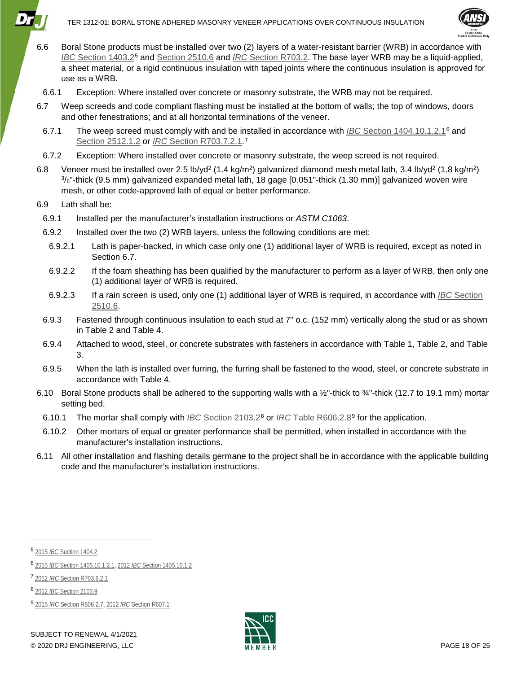

- 6.6 Boral Stone products must be installed over two (2) layers of a water-resistant barrier (WRB) in accordance with *IBC* [Section 1403.2](https://www.drjcertification.org/2018/ibc/section-1403.2)[5](#page-17-2) and [Section 2510.6](https://www.drjcertification.org/2018/ibc/section-2510.6) and *IRC* [Section R703.2.](https://www.drjcertification.org/2018/irc/section-R703.2) The base layer WRB may be a liquid-applied, a sheet material, or a rigid continuous insulation with taped joints where the continuous insulation is approved for use as a WRB.
- 6.6.1 Exception: Where installed over concrete or masonry substrate, the WRB may not be required.
- <span id="page-17-1"></span>6.7 Weep screeds and code compliant flashing must be installed at the bottom of walls; the top of windows, doors and other fenestrations; and at all horizontal terminations of the veneer.
- 6.7.1 The weep screed must comply with and be installed in accordance with *IBC* [Section 1404.10.1.2.1](https://www.drjcertification.org/2018/ibc/section-1404.10.1.2.1)[6](#page-17-3) and [Section 2512.1.2](https://www.drjcertification.org/2018/ibc/section-2512.1.2) or *IRC* [Section R703.7.2.1.](https://www.drjcertification.org/2018/irc/section-R703.7.2.1)[7](#page-17-4)
- 6.7.2 Exception: Where installed over concrete or masonry substrate, the weep screed is not required.
- <span id="page-17-0"></span>6.8 Veneer must be installed over 2.5 lb/yd<sup>2</sup> (1.4 kg/m<sup>2</sup>) galvanized diamond mesh metal lath, 3.4 lb/yd<sup>2</sup> (1.8 kg/m<sup>2</sup>)  $\frac{3}{8}$ "-thick (9.5 mm) galvanized expanded metal lath, 18 gage [0.051"-thick (1.30 mm)] galvanized woven wire mesh, or other code-approved lath of equal or better performance.

#### 6.9 Lath shall be:

- 6.9.1 Installed per the manufacturer's installation instructions or *ASTM C1063*.
- 6.9.2 Installed over the two (2) WRB layers, unless the following conditions are met:
- 6.9.2.1 Lath is paper-backed, in which case only one (1) additional layer of WRB is required, except as noted in Section [6.7.](#page-17-1)
- 6.9.2.2 If the foam sheathing has been qualified by the manufacturer to perform as a layer of WRB, then only one (1) additional layer of WRB is required.
- 6.9.2.3 If a rain screen is used, only one (1) additional layer of WRB is required, in accordance with *IBC* [Section](https://www.drjcertification.org/2018/ibc/section-2510.6)  [2510.6.](https://www.drjcertification.org/2018/ibc/section-2510.6)
- 6.9.3 Fastened through continuous insulation to each stud at 7" o.c. (152 mm) vertically along the stud or as shown in [Table 2](#page-6-0) and [Table 4.](#page-12-0)
- 6.9.4 Attached to wood, steel, or concrete substrates with fasteners in accordance with [Table 1,](#page-4-0) [Table 2,](#page-6-0) and [Table](#page-10-0)  [3.](#page-10-0)
- 6.9.5 When the lath is installed over furring, the furring shall be fastened to the wood, steel, or concrete substrate in accordance with [Table 4.](#page-12-0)
- 6.10 Boral Stone products shall be adhered to the supporting walls with a  $\frac{1}{2}$ -thick to  $\frac{3}{4}$ -thick (12.7 to 19.1 mm) mortar setting bed.
- 6.10.1 The mortar shall comply with *IBC* [Section 2103.2](https://www.drjcertification.org/2018/ibc/section-2103.2)[8](#page-17-5) or *IRC* [Table R606.2.8](https://www.drjcertification.org/2018/irc/section-R606.2.8)[9](#page-17-6) for the application.
- 6.10.2 Other mortars of equal or greater performance shall be permitted, when installed in accordance with the manufacturer's installation instructions.
- 6.11 All other installation and flashing details germane to the project shall be in accordance with the applicable building code and the manufacturer's installation instructions.

j



<span id="page-17-2"></span><sup>5</sup> 2015 *IBC* [Section 1404.2](https://www.drjcertification.org/2015/ibc/section-1404.2)

<span id="page-17-3"></span><sup>6</sup> 2015 *IBC* [Section 1405.10.1.2.1,](https://www.drjcertification.org/2015/ibc/section-1405.10.1.2.1) 2012 *IBC* [Section 1405.10.1.2](https://www.drjcertification.org/2012/ibc/section-1405.10.1.2)

<span id="page-17-4"></span><sup>7</sup> 2012 *IRC* [Section R703.6.2.1](https://www.drjcertification.org/2012/irc/section-R703.6.2.1)

<span id="page-17-5"></span><sup>8</sup> 2012 *IBC* [Section 2103.9](https://www.drjcertification.org/2012/ibc/section-2103.9)

<span id="page-17-6"></span><sup>9</sup> 2015 *IRC* [Section R606.2.7,](https://www.drjcertification.org/2015/irc/section-R606.2.7) 2012 *IRC* [Section R607.1](https://www.drjcertification.org/2012/irc/section-R607.1)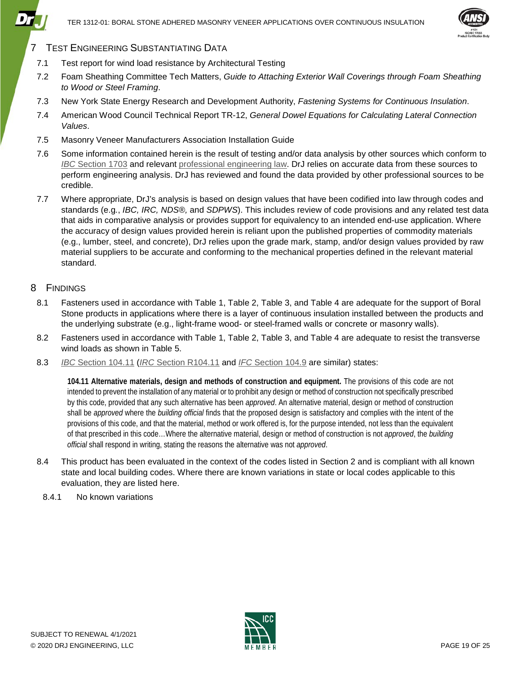

## 7 TEST ENGINEERING SUBSTANTIATING DATA

- 7.1 Test report for wind load resistance by Architectural Testing
- 7.2 Foam Sheathing Committee Tech Matters, *Guide to Attaching Exterior Wall Coverings through Foam Sheathing to Wood or Steel Framing*.
- 7.3 New York State Energy Research and Development Authority, *Fastening Systems for Continuous Insulation*.
- 7.4 American Wood Council Technical Report TR-12, *General Dowel Equations for Calculating Lateral Connection Values*.
- 7.5 Masonry Veneer Manufacturers Association Installation Guide
- 7.6 Some information contained herein is the result of testing and/or data analysis by other sources which conform to *IBC* [Section 1703](https://www.drjcertification.org/2018/IBC/section-1703) and relevant [professional engineering law.](https://www.nspe.org/resources/licensure/licensing-boards) DrJ relies on accurate data from these sources to perform engineering analysis. DrJ has reviewed and found the data provided by other professional sources to be credible.
- 7.7 Where appropriate, DrJ's analysis is based on design values that have been codified into law through codes and standards (e.g*.*, *IBC, IRC, NDS®,* and *SDPWS*). This includes review of code provisions and any related test data that aids in comparative analysis or provides support for equivalency to an intended end-use application. Where the accuracy of design values provided herein is reliant upon the published properties of commodity materials (e.g., lumber, steel, and concrete), DrJ relies upon the grade mark, stamp, and/or design values provided by raw material suppliers to be accurate and conforming to the mechanical properties defined in the relevant material standard.

#### 8 FINDINGS

- 8.1 Fasteners used in accordance with [Table 1,](#page-4-0) [Table 2,](#page-6-0) [Table 3,](#page-10-0) and [Table 4](#page-12-0) are adequate for the support of Boral Stone products in applications where there is a layer of continuous insulation installed between the products and the underlying substrate (e.g., light-frame wood- or steel-framed walls or concrete or masonry walls).
- 8.2 Fasteners used in accordance with [Table 1,](#page-4-0) [Table 2,](#page-6-0) [Table 3,](#page-10-0) and [Table 4](#page-12-0) are adequate to resist the transverse wind loads as shown in [Table 5.](#page-16-0)
- 8.3 *IBC* [Section 104.11](https://www.drjcertification.org/2018/ibc/section-104.11) (*IRC* [Section R104.11](https://www.drjcertification.org/2018/irc/section-R104.11) and *IFC* [Section 104.9](https://www.drjcertification.org/2018/ifc/section-104.9) are similar) states:

**104.11 Alternative materials, design and methods of construction and equipment.** The provisions of this code are not intended to prevent the installation of any material or to prohibit any design or method of construction not specifically prescribed by this code, provided that any such alternative has been *approved*. An alternative material, design or method of construction shall be *approved* where the *building official* finds that the proposed design is satisfactory and complies with the intent of the provisions of this code, and that the material, method or work offered is, for the purpose intended, not less than the equivalent of that prescribed in this code…Where the alternative material, design or method of construction is not *approved*, the *building official* shall respond in writing, stating the reasons the alternative was not *approved*.

- 8.4 This product has been evaluated in the context of the codes listed in Section [2](#page-2-2) and is compliant with all known state and local building codes. Where there are known variations in state or local codes applicable to this evaluation, they are listed here.
- 8.4.1 No known variations

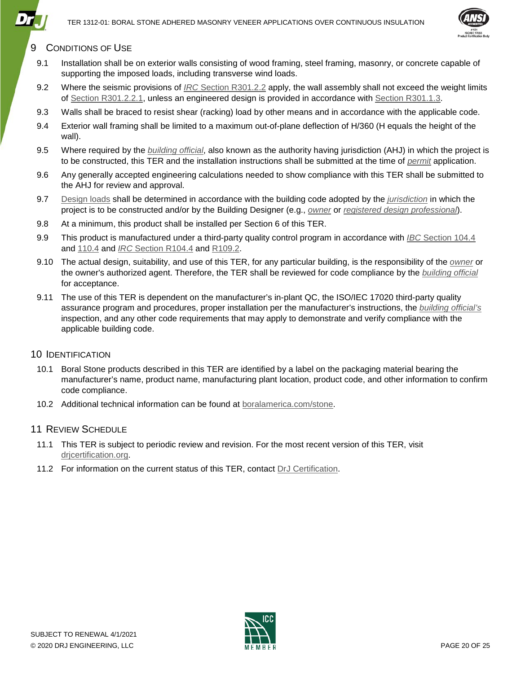

## <span id="page-19-0"></span>9 CONDITIONS OF USE

- 9.1 Installation shall be on exterior walls consisting of wood framing, steel framing, masonry, or concrete capable of supporting the imposed loads, including transverse wind loads.
- 9.2 Where the seismic provisions of *IRC* [Section R301.2.2](https://www.drjcertification.org/2018/irc/section-R301.2.2) apply, the wall assembly shall not exceed the weight limits of [Section R301.2.2.1,](https://www.drjcertification.org/2018/irc/section-R301.2.2.1) unless an engineered design is provided in accordance with [Section R301.1.3.](https://www.drjcertification.org/2018/irc/section-R301.1.3)
- 9.3 Walls shall be braced to resist shear (racking) load by other means and in accordance with the applicable code.
- 9.4 Exterior wall framing shall be limited to a maximum out-of-plane deflection of H/360 (H equals the height of the wall).
- 9.5 Where required by the *[building official](https://www.drjcertification.org/2018/ibc/chapter-2/building-official)*, also known as the authority having jurisdiction (AHJ) in which the project is to be constructed, this TER and the installation instructions shall be submitted at the time of *[permit](https://www.drjcertification.org/2018/ibc/chapter-2/permit)* application.
- 9.6 Any generally accepted engineering calculations needed to show compliance with this TER shall be submitted to the AHJ for review and approval.
- 9.7 [Design loads](https://www.drjcertification.org/2018/ibc/section-1603.1/general) shall be determined in accordance with the building code adopted by the *[jurisdiction](https://www.drjcertification.org/2018/ibc/chapter-2/jurisdiction)* in which the project is to be constructed and/or by the Building Designer (e.g., *[owner](https://www.drjcertification.org/2018/ibc/chapter-2/owner)* or *[registered design professional](https://www.drjcertification.org/2018/ibc/chapter-2/registered-design-professional)*).
- 9.8 At a minimum, this product shall be installed per Section [6](#page-16-2) of this TER.
- 9.9 This product is manufactured under a third-party quality control program in accordance with *IBC* [Section 104.4](https://www.drjcertification.org/2018/ibc/section-104.4) and [110.4](https://www.drjcertification.org/2018/ibc/section-110.4) and *IRC* [Section R104.4](https://www.drjcertification.org/2018/irc/section-R104.4) and [R109.2.](https://www.drjcertification.org/2018/irc/section-R109.2)
- 9.10 The actual design, suitability, and use of this TER, for any particular building, is the responsibility of the *[owner](https://www.drjcertification.org/2018/ibc/chapter-2/owner)* or the owner's authorized agent. Therefore, the TER shall be reviewed for code compliance by the *[building](https://www.drjcertification.org/2018/ibc/chapter-2/building-official) official* for acceptance.
- 9.11 The use of this TER is dependent on the manufacturer's in-plant QC, the ISO/IEC 17020 third-party quality assurance program and procedures, proper installation per the manufacturer's instructions, the *[building official's](https://www.drjcertification.org/2018/ibc/chapter-2/building-official)* inspection, and any other code requirements that may apply to demonstrate and verify compliance with the applicable building code.

#### 10 IDENTIFICATION

- 10.1 Boral Stone products described in this TER are identified by a label on the packaging material bearing the manufacturer's name, product name, manufacturing plant location, product code, and other information to confirm code compliance.
- 10.2 Additional technical information can be found at [boralamerica.com/stone.](https://boralamerica.com/stone/)

#### 11 REVIEW SCHEDULE

- 11.1 This TER is subject to periodic review and revision. For the most recent version of this TER, visit [drjcertification.org.](https://www.drjcertification.org/)
- 11.2 For information on the current status of this TER, contact [DrJ Certification.](http://www.drjcertification.org/contact-drj)

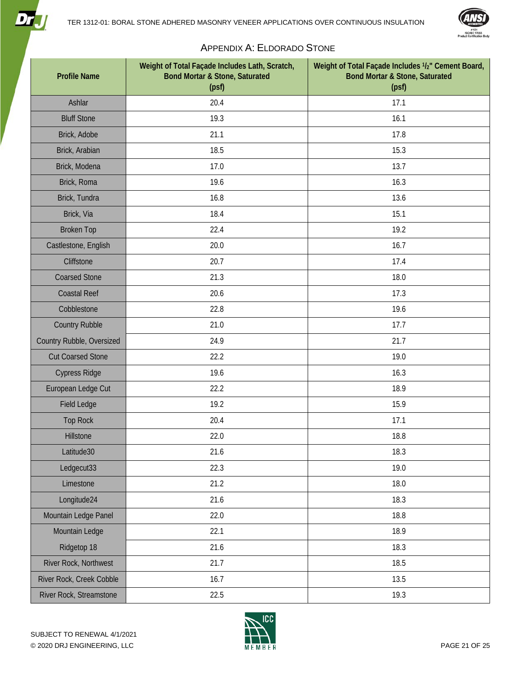



## APPENDIX A: ELDORADO STONE

<span id="page-20-0"></span>

| <b>Profile Name</b>       | Weight of Total Façade Includes Lath, Scratch,<br><b>Bond Mortar &amp; Stone, Saturated</b><br>(psf) | Weight of Total Façade Includes 1/2" Cement Board,<br><b>Bond Mortar &amp; Stone, Saturated</b><br>(psf) |
|---------------------------|------------------------------------------------------------------------------------------------------|----------------------------------------------------------------------------------------------------------|
| Ashlar                    | 20.4                                                                                                 | 17.1                                                                                                     |
| <b>Bluff Stone</b>        | 19.3                                                                                                 | 16.1                                                                                                     |
| Brick, Adobe              | 21.1                                                                                                 | 17.8                                                                                                     |
| Brick, Arabian            | 18.5                                                                                                 | 15.3                                                                                                     |
| Brick, Modena             | 17.0                                                                                                 | 13.7                                                                                                     |
| Brick, Roma               | 19.6                                                                                                 | 16.3                                                                                                     |
| Brick, Tundra             | 16.8                                                                                                 | 13.6                                                                                                     |
| Brick, Via                | 18.4                                                                                                 | 15.1                                                                                                     |
| <b>Broken Top</b>         | 22.4                                                                                                 | 19.2                                                                                                     |
| Castlestone, English      | 20.0                                                                                                 | 16.7                                                                                                     |
| Cliffstone                | 20.7                                                                                                 | 17.4                                                                                                     |
| <b>Coarsed Stone</b>      | 21.3                                                                                                 | 18.0                                                                                                     |
| <b>Coastal Reef</b>       | 20.6                                                                                                 | 17.3                                                                                                     |
| Cobblestone               | 22.8                                                                                                 | 19.6                                                                                                     |
| <b>Country Rubble</b>     | 21.0                                                                                                 | 17.7                                                                                                     |
| Country Rubble, Oversized | 24.9                                                                                                 | 21.7                                                                                                     |
| <b>Cut Coarsed Stone</b>  | 22.2                                                                                                 | 19.0                                                                                                     |
| <b>Cypress Ridge</b>      | 19.6                                                                                                 | 16.3                                                                                                     |
| European Ledge Cut        | 22.2                                                                                                 | 18.9                                                                                                     |
| <b>Field Ledge</b>        | 19.2                                                                                                 | 15.9                                                                                                     |
| <b>Top Rock</b>           | 20.4                                                                                                 | 17.1                                                                                                     |
| Hillstone                 | 22.0                                                                                                 | 18.8                                                                                                     |
| Latitude30                | 21.6                                                                                                 | 18.3                                                                                                     |
| Ledgecut33                | 22.3                                                                                                 | 19.0                                                                                                     |
| Limestone                 | 21.2                                                                                                 | 18.0                                                                                                     |
| Longitude24               | 21.6                                                                                                 | 18.3                                                                                                     |
| Mountain Ledge Panel      | 22.0                                                                                                 | 18.8                                                                                                     |
| Mountain Ledge            | 22.1                                                                                                 | 18.9                                                                                                     |
| Ridgetop 18               | 21.6                                                                                                 | 18.3                                                                                                     |
| River Rock, Northwest     | 21.7                                                                                                 | 18.5                                                                                                     |
| River Rock, Creek Cobble  | 16.7                                                                                                 | 13.5                                                                                                     |
| River Rock, Streamstone   | 22.5                                                                                                 | 19.3                                                                                                     |



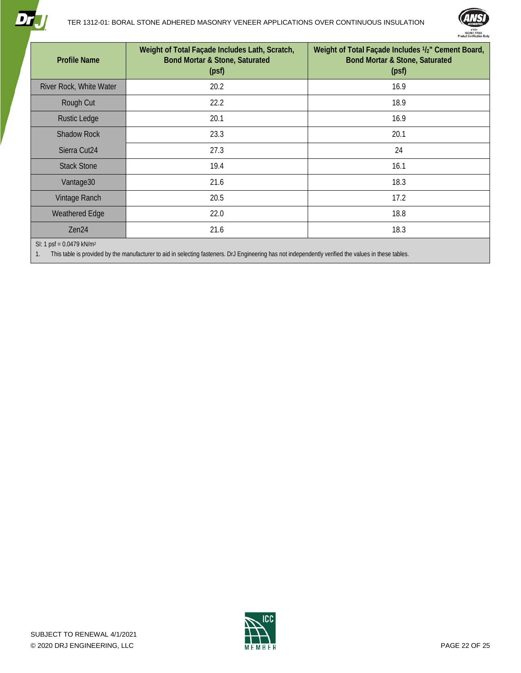



| <b>Profile Name</b>                  | Weight of Total Façade Includes Lath, Scratch,<br><b>Bond Mortar &amp; Stone, Saturated</b><br>(psf)                                                                                                                           | Weight of Total Façade Includes 1/2" Cement Board,<br><b>Bond Mortar &amp; Stone, Saturated</b><br>(psf) |
|--------------------------------------|--------------------------------------------------------------------------------------------------------------------------------------------------------------------------------------------------------------------------------|----------------------------------------------------------------------------------------------------------|
| River Rock, White Water              | 20.2                                                                                                                                                                                                                           | 16.9                                                                                                     |
| Rough Cut                            | 22.2                                                                                                                                                                                                                           | 18.9                                                                                                     |
| <b>Rustic Ledge</b>                  | 20.1                                                                                                                                                                                                                           | 16.9                                                                                                     |
| <b>Shadow Rock</b>                   | 23.3                                                                                                                                                                                                                           | 20.1                                                                                                     |
| Sierra Cut24                         | 27.3                                                                                                                                                                                                                           | 24                                                                                                       |
| <b>Stack Stone</b>                   | 19.4                                                                                                                                                                                                                           | 16.1                                                                                                     |
| Vantage30                            | 21.6                                                                                                                                                                                                                           | 18.3                                                                                                     |
| Vintage Ranch                        | 20.5                                                                                                                                                                                                                           | 17.2                                                                                                     |
| Weathered Edge                       | 22.0                                                                                                                                                                                                                           | 18.8                                                                                                     |
| Zen24                                | 21.6                                                                                                                                                                                                                           | 18.3                                                                                                     |
| SI: 1 psf = 0.0479 kN/m <sup>2</sup> | THE REPORT OF THE REPORT OF THE REPORT OF THE REPORT OF THE REPORT OF THE REPORT OF THE REPORT OF THE REPORT OF THE REPORT OF THE REPORT OF THE REPORT OF THE REPORT OF THE REPORT OF THE REPORT OF THE REPORT OF THE REPORT O |                                                                                                          |

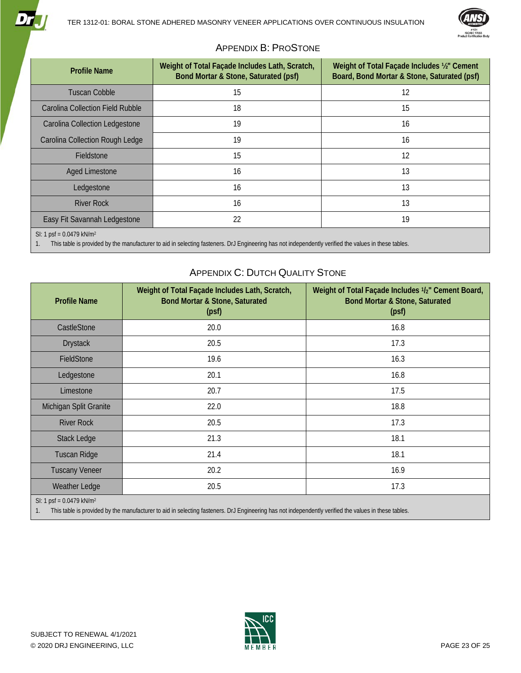

### APPENDIX B: PROSTONE

<span id="page-22-0"></span>

| <b>Profile Name</b>                                                                                                                                                                            | Weight of Total Façade Includes Lath, Scratch,<br>Bond Mortar & Stone, Saturated (psf) | Weight of Total Façade Includes 1/2" Cement<br>Board, Bond Mortar & Stone, Saturated (psf) |
|------------------------------------------------------------------------------------------------------------------------------------------------------------------------------------------------|----------------------------------------------------------------------------------------|--------------------------------------------------------------------------------------------|
| <b>Tuscan Cobble</b>                                                                                                                                                                           | 15                                                                                     | 12                                                                                         |
| Carolina Collection Field Rubble                                                                                                                                                               | 18                                                                                     | 15                                                                                         |
| Carolina Collection Ledgestone                                                                                                                                                                 | 19                                                                                     | 16                                                                                         |
| Carolina Collection Rough Ledge                                                                                                                                                                | 19                                                                                     | 16                                                                                         |
| Fieldstone                                                                                                                                                                                     | 15                                                                                     | 12                                                                                         |
| <b>Aged Limestone</b>                                                                                                                                                                          | 16                                                                                     | 13                                                                                         |
| Ledgestone                                                                                                                                                                                     | 16                                                                                     | 13                                                                                         |
| <b>River Rock</b>                                                                                                                                                                              | 16                                                                                     | 13                                                                                         |
| Easy Fit Savannah Ledgestone                                                                                                                                                                   | 22                                                                                     | 19                                                                                         |
| SI: 1 psf = $0.0479$ kN/m <sup>2</sup><br>This table is provided by the manufacturer to aid in selecting fasteners. DrJ Engineering has not independently verified the values in these tables. |                                                                                        |                                                                                            |

## APPENDIX C: DUTCH QUALITY STONE

<span id="page-22-1"></span>

| <b>Profile Name</b>                    | Weight of Total Façade Includes Lath, Scratch,<br><b>Bond Mortar &amp; Stone, Saturated</b><br>(psf) | Weight of Total Façade Includes 1/2" Cement Board,<br><b>Bond Mortar &amp; Stone, Saturated</b><br>(psf) |
|----------------------------------------|------------------------------------------------------------------------------------------------------|----------------------------------------------------------------------------------------------------------|
| CastleStone                            | 20.0                                                                                                 | 16.8                                                                                                     |
| <b>Drystack</b>                        | 20.5                                                                                                 | 17.3                                                                                                     |
| FieldStone                             | 19.6                                                                                                 | 16.3                                                                                                     |
| Ledgestone                             | 20.1                                                                                                 | 16.8                                                                                                     |
| Limestone                              | 20.7                                                                                                 | 17.5                                                                                                     |
| Michigan Split Granite                 | 22.0                                                                                                 | 18.8                                                                                                     |
| <b>River Rock</b>                      | 20.5                                                                                                 | 17.3                                                                                                     |
| <b>Stack Ledge</b>                     | 21.3                                                                                                 | 18.1                                                                                                     |
| <b>Tuscan Ridge</b>                    | 21.4                                                                                                 | 18.1                                                                                                     |
| <b>Tuscany Veneer</b>                  | 20.2                                                                                                 | 16.9                                                                                                     |
| Weather Ledge                          | 20.5                                                                                                 | 17.3                                                                                                     |
| SI: 1 psf = $0.0479$ kN/m <sup>2</sup> |                                                                                                      |                                                                                                          |

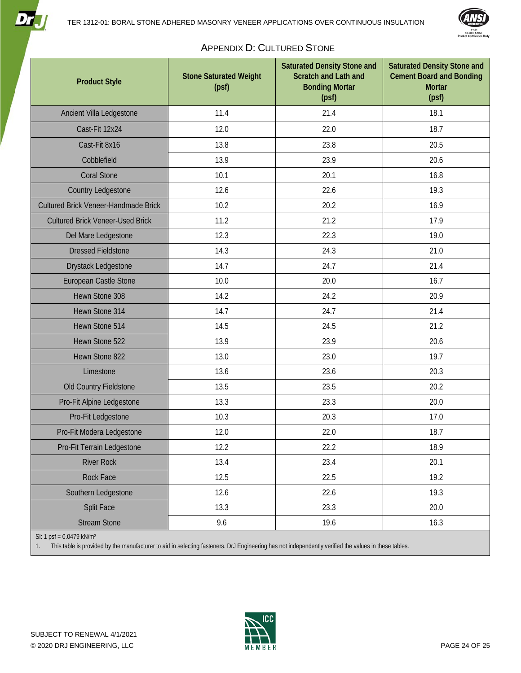



### APPENDIX D: CULTURED STONE

<span id="page-23-0"></span>

| <b>Product Style</b>                    | <b>Stone Saturated Weight</b><br>(psf) | <b>Saturated Density Stone and</b><br><b>Scratch and Lath and</b><br><b>Bonding Mortar</b><br>(psf) | <b>Saturated Density Stone and</b><br><b>Cement Board and Bonding</b><br><b>Mortar</b><br>(psf) |
|-----------------------------------------|----------------------------------------|-----------------------------------------------------------------------------------------------------|-------------------------------------------------------------------------------------------------|
| Ancient Villa Ledgestone                | 11.4                                   | 21.4                                                                                                | 18.1                                                                                            |
| Cast-Fit 12x24                          | 12.0                                   | 22.0                                                                                                | 18.7                                                                                            |
| Cast-Fit 8x16                           | 13.8                                   | 23.8                                                                                                | 20.5                                                                                            |
| Cobblefield                             | 13.9                                   | 23.9                                                                                                | 20.6                                                                                            |
| <b>Coral Stone</b>                      | 10.1                                   | 20.1                                                                                                | 16.8                                                                                            |
| Country Ledgestone                      | 12.6                                   | 22.6                                                                                                | 19.3                                                                                            |
| Cultured Brick Veneer-Handmade Brick    | 10.2                                   | 20.2                                                                                                | 16.9                                                                                            |
| <b>Cultured Brick Veneer-Used Brick</b> | 11.2                                   | 21.2                                                                                                | 17.9                                                                                            |
| Del Mare Ledgestone                     | 12.3                                   | 22.3                                                                                                | 19.0                                                                                            |
| <b>Dressed Fieldstone</b>               | 14.3                                   | 24.3                                                                                                | 21.0                                                                                            |
| Drystack Ledgestone                     | 14.7                                   | 24.7                                                                                                | 21.4                                                                                            |
| European Castle Stone                   | 10.0                                   | 20.0                                                                                                | 16.7                                                                                            |
| Hewn Stone 308                          | 14.2                                   | 24.2                                                                                                | 20.9                                                                                            |
| Hewn Stone 314                          | 14.7                                   | 24.7                                                                                                | 21.4                                                                                            |
| Hewn Stone 514                          | 14.5                                   | 24.5                                                                                                | 21.2                                                                                            |
| Hewn Stone 522                          | 13.9                                   | 23.9                                                                                                | 20.6                                                                                            |
| Hewn Stone 822                          | 13.0                                   | 23.0                                                                                                | 19.7                                                                                            |
| Limestone                               | 13.6                                   | 23.6                                                                                                | 20.3                                                                                            |
| Old Country Fieldstone                  | 13.5                                   | 23.5                                                                                                | 20.2                                                                                            |
| Pro-Fit Alpine Ledgestone               | 13.3                                   | 23.3                                                                                                | 20.0                                                                                            |
| Pro-Fit Ledgestone                      | 10.3                                   | 20.3                                                                                                | 17.0                                                                                            |
| Pro-Fit Modera Ledgestone               | 12.0                                   | 22.0                                                                                                | 18.7                                                                                            |
| Pro-Fit Terrain Ledgestone              | 12.2                                   | 22.2                                                                                                | 18.9                                                                                            |
| <b>River Rock</b>                       | 13.4                                   | 23.4                                                                                                | 20.1                                                                                            |
| <b>Rock Face</b>                        | 12.5                                   | 22.5                                                                                                | 19.2                                                                                            |
| Southern Ledgestone                     | 12.6                                   | 22.6                                                                                                | 19.3                                                                                            |
| <b>Split Face</b>                       | 13.3                                   | 23.3                                                                                                | 20.0                                                                                            |
| <b>Stream Stone</b>                     | 9.6                                    | 19.6                                                                                                | 16.3                                                                                            |

SI: 1 psf = 0.0479 kN/m2

<u>Dri</u>